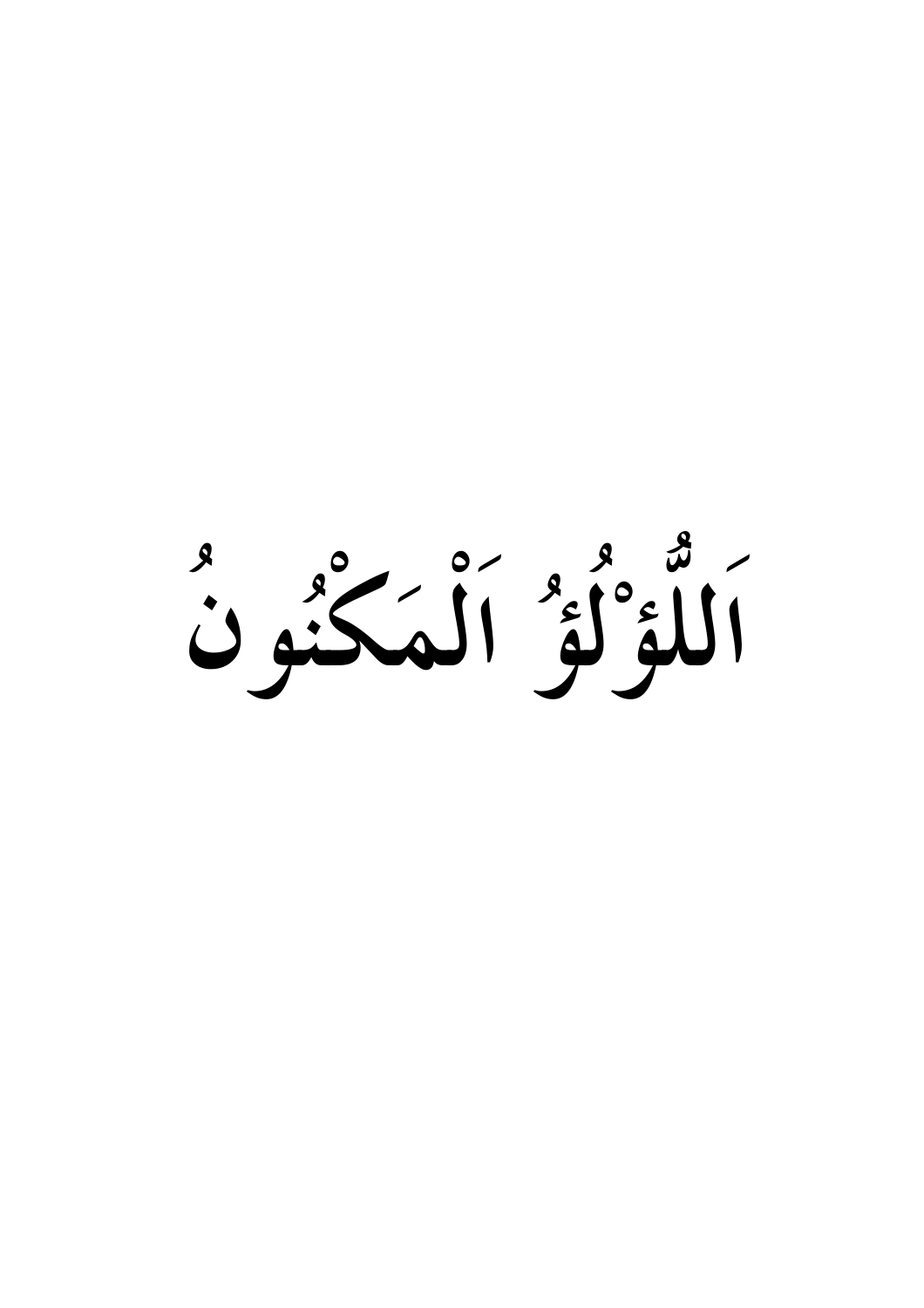أَلْلَؤُلُؤُ أَلْمَكْنُونَ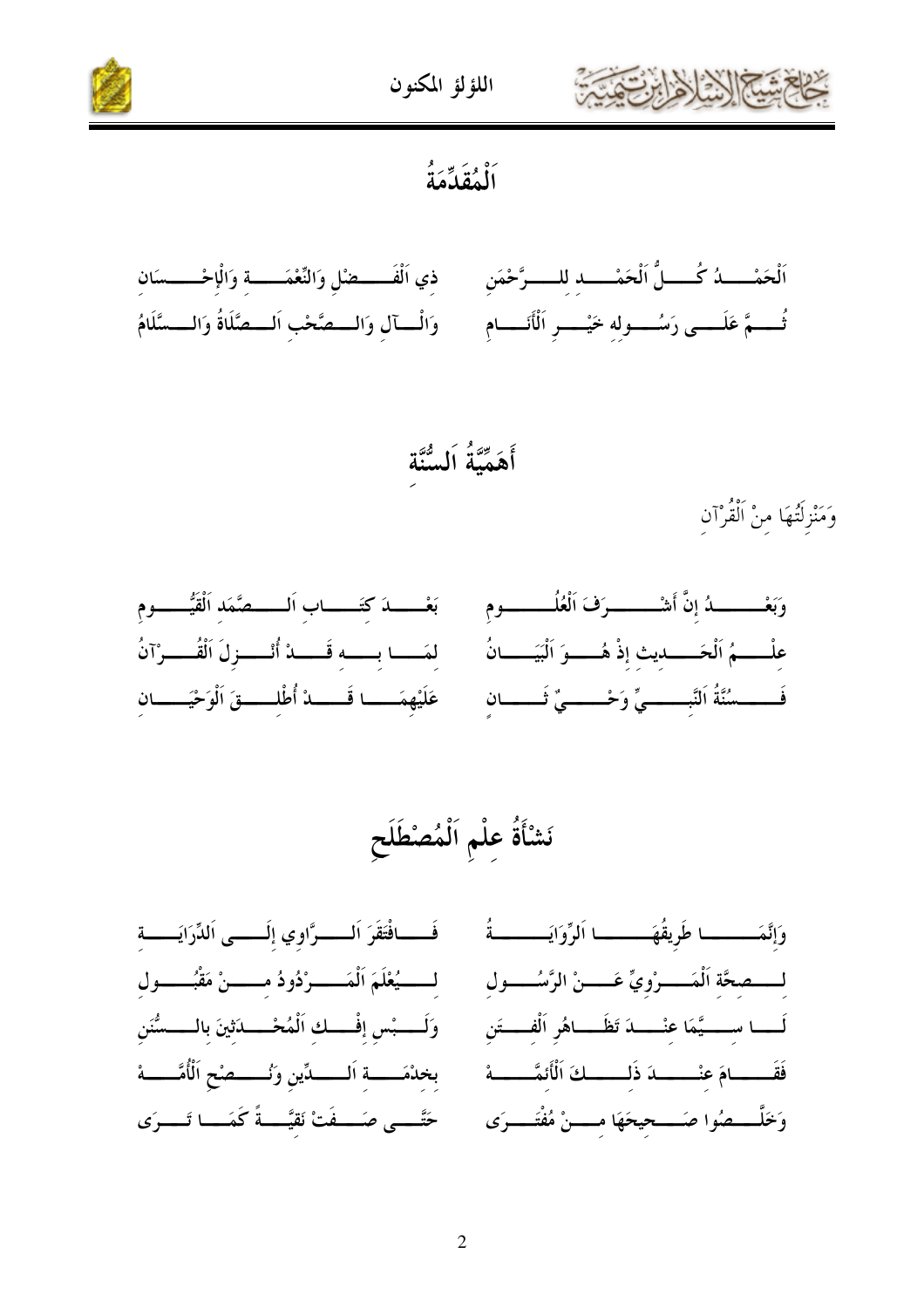



أَلْمُقَدِّمَةُ



أَهَمِّيَّةُ اَلسُّنَّة

وَمَنْزِلَتُهَا منْ الْقُرْآن



## نَشْأَةُ علْمِ اَلْمُصْطَلَح

فَـــافْتَقَرَ اَلـــــرَّاوي إلَـــــى اَللِّرَايَـــــة لــــــيُعْلَمَ اَلْمَــــــوْدُودُ مــــــنْ مَقْبُـــــول وَلَــــبْس إفْـــك اَلْمُحْـــــدَثينَ بالـــــسُّنَن بخدْمَــــة اَلــــــدِّين وَنُـــــصْح الْأُمَّــــــهْ حَتَّــــى صَــــفَتْ نَقيَّــــةً كَمَــــا تَــــرَى

وَإِنَّمَـــــــا طَرِيقُهَـــــــا اَلرِّوَايَـــــــةُ لــــصحَّة اَلْمَـــــرْويٍّ عَـــــنْ الرَّسُـــــول لَــــا ســـــيَّمَا عنْــــــدَ تَظَـــــاهُر اَلْفــــتَن فَقَــــــامَ عنْـــــــدَ ذَلــــــكَ الْأَنَمَّـــــــهْ وَخَلَّــــصُوا صَــــحيحَهَا مـــــنْ مُفْتَــــرَى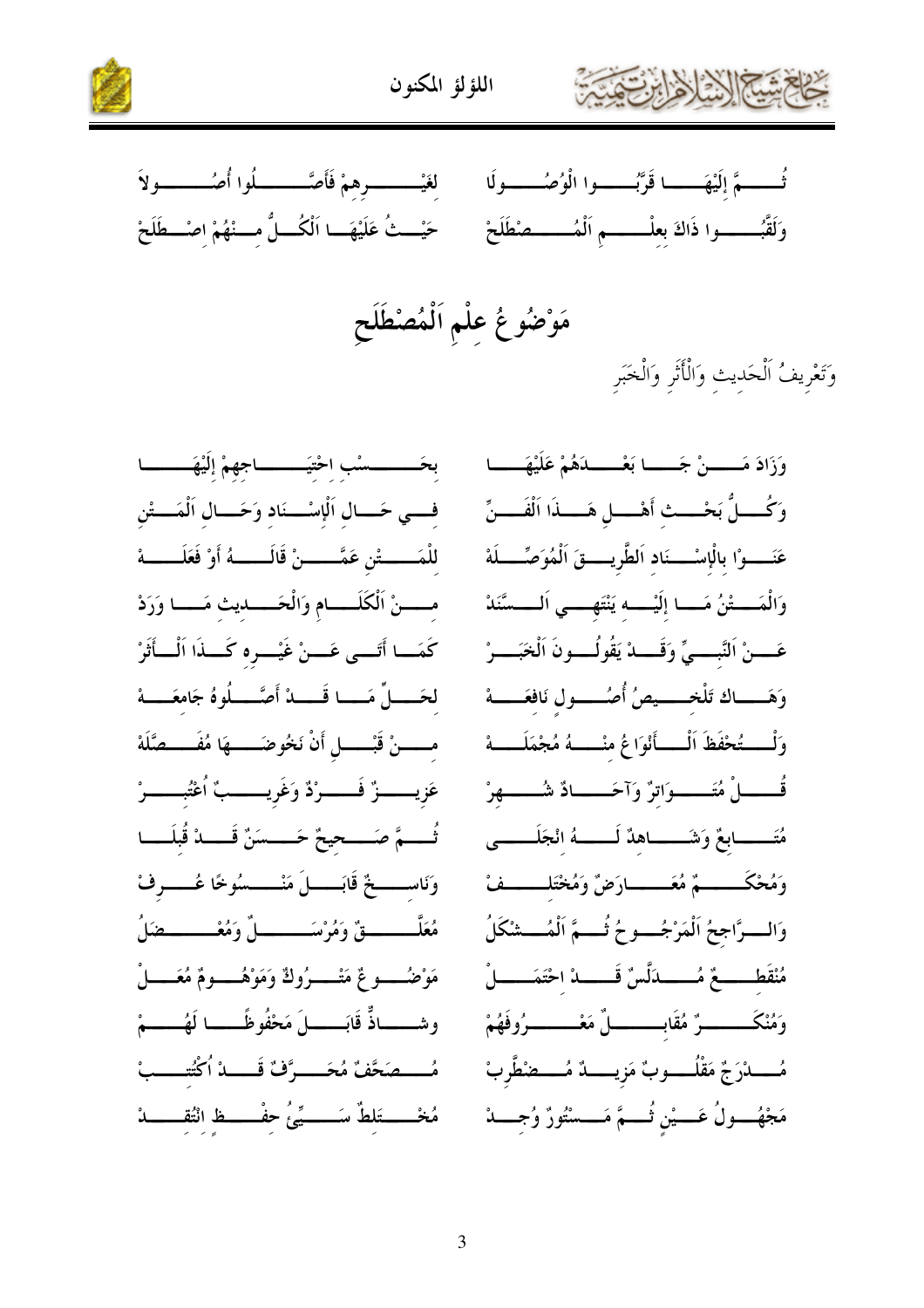



لغَيْــــــــــــرهمْ فَأَصَّـــــــــــلُوا أُصُـــــــــــولاَ ثُـــــــمَّ إلَيْهَـــــــا قَرَّبُـــــــوا الْوُصُـــــــولَا حَيْــثُ عَلَيْهَــا اَلْكُـــلُّ مـــنْهُمْ اصْـــطَلَحْ وَلَقَّبُـــــــــوا ذَاكَ بعلْــــــــم اَلْمُــــــــصْطَلَحْ

فسي حَـــال اَلْإِسْـــنَاد وَحَـــال اَلْمَـــتْن للْمَـــــتْن عَمَّــــنْ قَالَـــــهُ أَوْ فَعَلَـــــهْ مسمنْ الْكَلَـــام وَالْحَـــديث مَــا وَرَدْ كَمَــا أَتَـــى عَـــنْ غَيْـــره كَـــذَا اَلْـــأَثَرْ لحَــــلِّ مَــــا قَــــدْ أَصَّــــلُوهُ جَامعَــــهْ مـــــنْ قَبْـــــل أَنْ نَخُوضَـــــهَا مُفَــــصَّلَهْ عَزِيـــــزٌ فَـــــرْدٌ وَغَرِيـــــبٌ ٱعْتُبــــــرْ ثُسَــمَّ صَــــحِحْ حَـــسَنٌ قَــــدْ قُلِلَـــا وَنَاســـــخٌ قَابَـــــــلَ مَنْـــــــسُوخًا عُـــــــوفْ مُعَلَّــــــــــقٌ وَمُرْسَــــــــــلٌ وَمُعْــــــــــــضَلُ مَوْضُـــــــوعٌ مَتْـــــــرُوكٌ وَمَوْهُـــــــومٌ مُعَــــــلْ وشــــاذٌّ قَابَــــــلَ مَحْفُوظًـــــا لَهُــــــمْ مُــــصَحَّفٌ مُحَــــرَّفٌ قَــــدْ اُكْتُـــــبْ مُخْــــتَلطٌ سَــــيِّىُ حفْــــظ انْتُقــــــدْ

وَزَادَ مَـــــنْ جَـــــا بَعْـــــدَهُمْ عَلَيْهَـــــا وَكُــــلٌ بَحْـــث أَهْــــل هَــــذَا اَلْفَــــنِّ عَنَـــوْا بِالْإِسْــــنَاد اَلطَّرِيــــقَ اَلْمُوَصِّــــلَهْ وَالْمَــــّْنُ مَــــا إِلَيْــــه يَنْتَهــــى اَلــــسَّنَدْ عَـــنْ اَلنَّبــــىٍّ وَقَــــدْ يَقُولُــــونَ اَلْخَبَــــرْ وَهَـــاك تَلْخــــيصُ أُصُـــول نَافعَـــهْ وَلْــــتُحْفَظَ اَلْــــأَنْوَاعُ منْـــــهُ مُجْمَلَـــــهْ قُـــــــــــلْ مُتَـــــــــــوَاترٌ وَآحَـــــــــادٌ شُــــــــــهرْ مُتَــــــابعٌ وَشَـــــــاهدٌ لَـــــــهُ انْجَلَـــــــى وَمُحْكَــــــــمٌ مُعَــــــــارَضٌ وَمُخْتَلـــــــفْ وَالسوَّاجحُ اَلْمَرْجُسوحُ ثُسمَّ اَلْمُسْشْكَلُ مُنْقَطَــــعٌ مُـــــدَلَّسٌ قَــــدْ احْتَمَـــــلْ وَمُنْكَــــــــــوٌ مُقَابـــــــــــــلٌ مَعْـــــــــــوُوفَهُمْ مُــــــــدْرَجٌ مَقْلُــــــــوبٌ مَزيـــــــدٌ مُـــــــضْطَّربْ مَجْهُـــــولُ عَــــيْن ثُـــــمَّ مَـــــسْتُورٌ وُجــــــدْ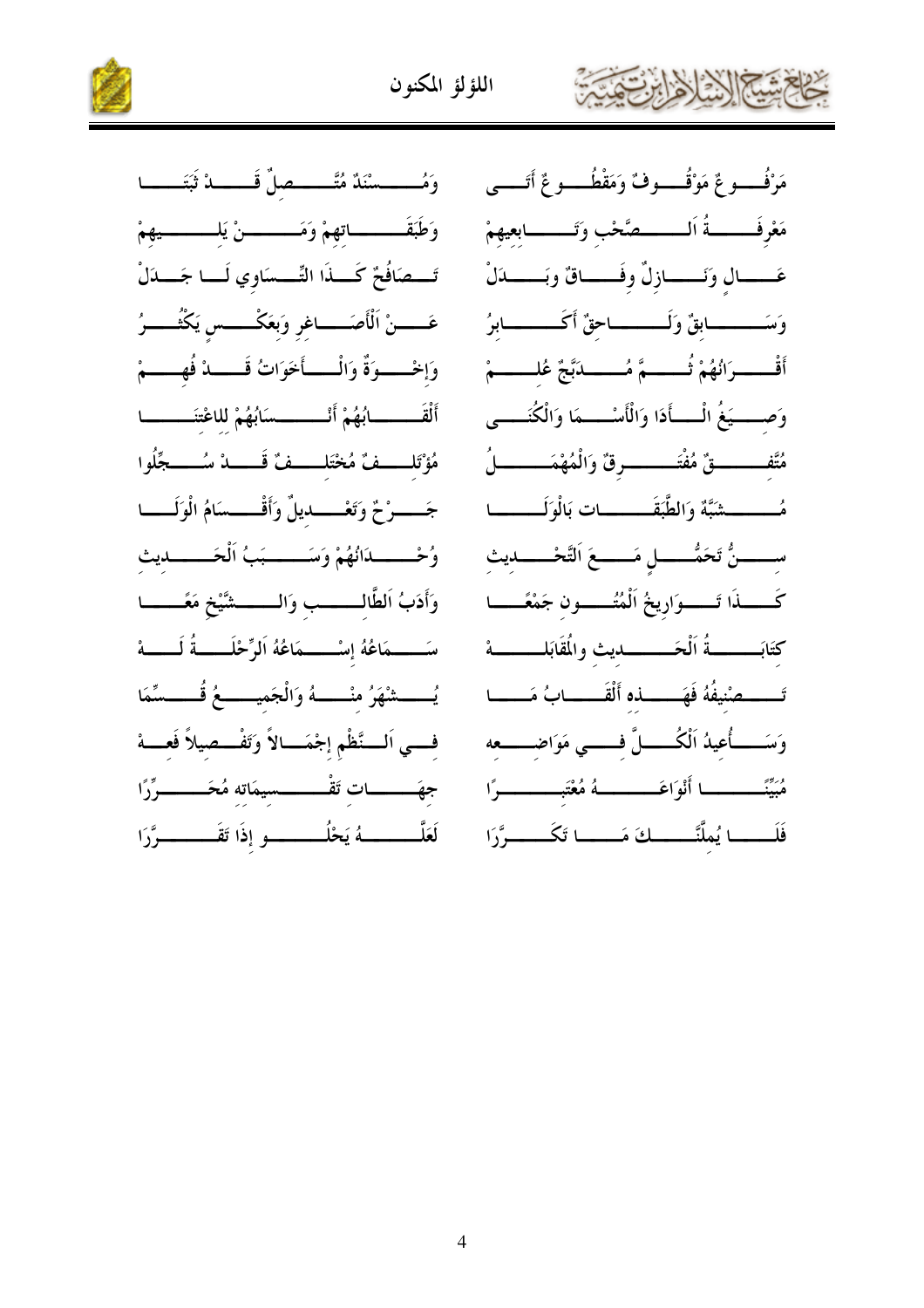



وَمُــــــسْنَدٌ مُتَّـــــــصلٌ قَــــــدْ ثَبَتَــــــا وَطَبَقَـــــــاتهمْ وَمَـــــــنْ يَلـــــــــيهمْ تَسْصَافُحٌ كَسِذَا التِّسْسَاوِي لَسَا جَسَدَلْ عَـــــنْ اَلْأَصَـــــاغر وَبعَكْـــــس يَكْتُـــــرُ وَإِخْـــوَةٌ وَالْــــأَحَوَاتُ قَــــدْ فُهِــــمْ أَلْقَـــــــــابُهُمْ أَنْـــــــــسَابُهُمْ للاعْتنَـــــــــا مُؤْتَلِّــفٌ مُخْتَلِّــفٌ قَــــدْ سُـــــجِّلُوا جَـــــوْحٌ وَتَعْــــــــديلٌ وَأَقْــــــسَامُ الْوَلَـــــا وُحْــــــدَانُهُمْ وَسَــــــبَبُ اَلْحَــــــديث وَأَدَبُ اَلطَّالِـــــب وَالــــــشَّيْخِ مَعَـــــا سَــــمَاعُهُ إسْــــمَاعُهُ اَلرِّحْلَــــةُ لَــــهْ يُــــشْهَرُ منْــــهُ وَالْجَميـــــعُ قُــــسِّمَا فسي السنَّظْمِ إجْمَسالاً وَتَفْسطيلاً فَعسهْ جهَـــــــات تَقْـــــــــسيمَاته مُحَــــــــرِّرًا لَعَلَّـــــــــــهُ يَحْلُـــــــــــو إذَا تَقَــــــــــوَّرَا

مَرْفُـــــوعٌ مَوْقُــــــوفٌ وَمَقْطُــــــوعٌ أَتَــــــى مَعْرِفَـــــــةُ اَلـــــــصَّحْب وَتَــــــــابعيهمْ عَــــال وَنَـــــازلٌ وفَــــاقٌ وبَـــــدَلْ وَسَــــــابقٌ وَلَــــــاحقٌ أَكَــــــابرُ أَقْـــــــرَانُهُمْ ثُــــــــمَّ مُـــــــــدَبَّجٌ عُلــــــــمْ وَصِــــيَغُ الْـــأَدَا وَالْأَسْـــمَا وَالْكُتَــــى مُتَّف\_\_\_\_قٌ مُفْتَــــــــــــوقٌ وَالْمُهْمَـــــــــــلُ مُـــــــــشَبَّةٌ وَالطَّبَقَـــــــــات بَالْوَلَـــــــــا ســــــنُّ تَحَمُّـــــــل مَــــــعَ اَلتَّحْـــــــديث كَــــــذَا تَـــــــوَارِيخُ اَلْمُتُــــــون جَمْعًـــــا كتَابَــــــــةُ اَلْحَـــــــــديث والمُقَابَلـــــــــــهْ وَسَـــــأُعيدُ اَلْكُــــــلَّ فــــــي مَوَاضـــــــعه مُبَيَّنَـــــــــا أَنْوَاعَـــــــــهُ مُعْتَبــــــــــرًا فَلَـــــا يُملَّنَّــــــكَ مَـــــا تَكَــــــرَّرَا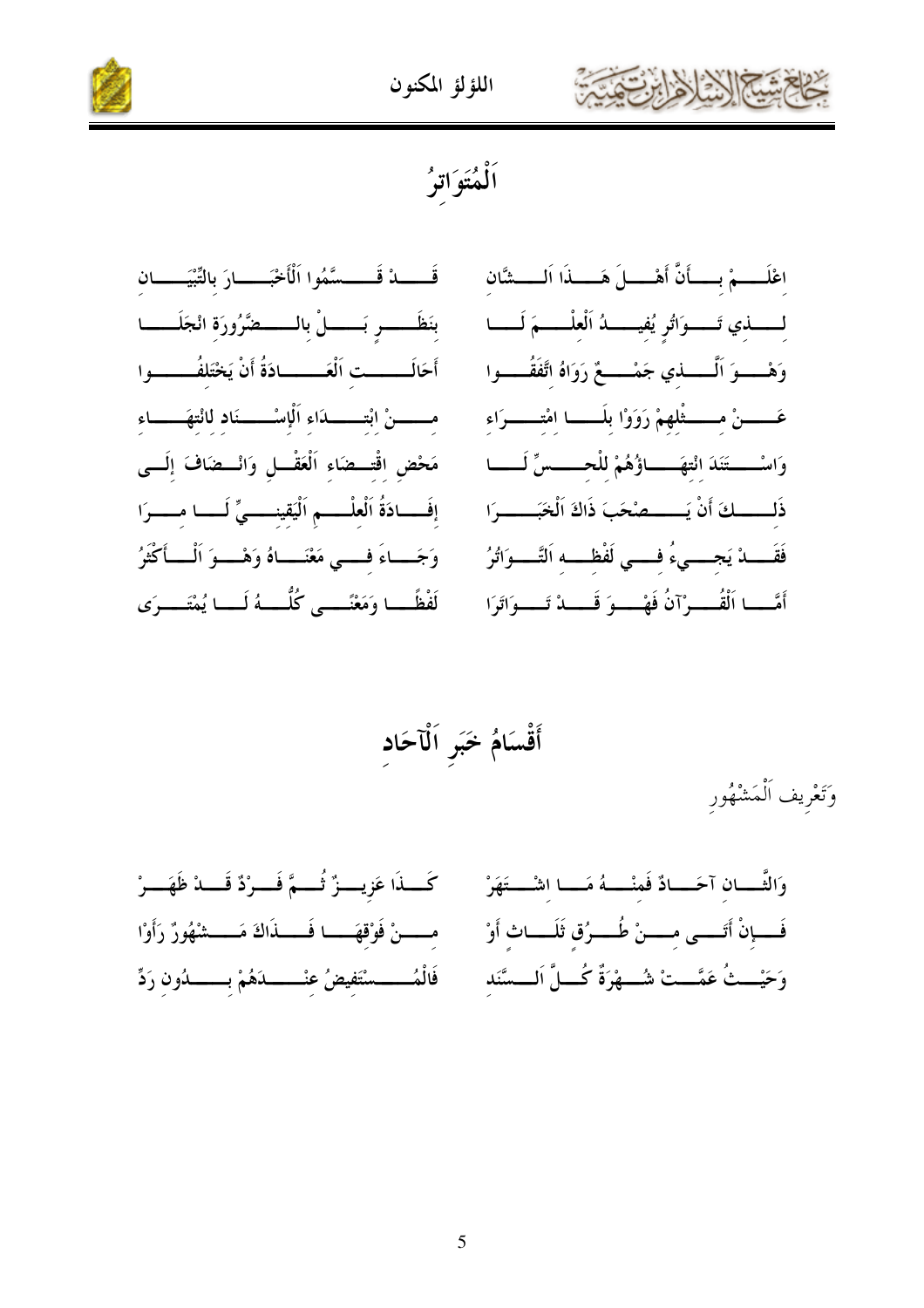





ٱلْمُتَوَاتِرُ

قَــــــــدْ قَـــــــسَّمُوا اَلْأَخْبَــــــــارَ بالتِّبْيَــــــــان اعْلَــــمْ بِــــأَنَّ أَهْــــلَ هَـــــذَا اَلــــشَّان بنَظَـــــــر بَــــــــــلْ بالــــــــــضَّرُورَة انْجَلَـــــــا لمسمذي تَسموَاتُو يُفيسمدُ اَلْعلْمسمَ لَمسا أَحَالَــــــت اَلْعَــــــادَةُ أَنْ يَخْتَلفُـــــــوا وَهْـــــوَ اَلْــــــــــــني جَمْـــــــعٌ رَوَاهُ اتَّفَقُــــــوا مـــــنْ ابْتـــــــدَاء اَلْإِسْــــــنَاد لانْتهَـــــاء عَــــــنْ مــــــثْلهمْ رَوَوْا بلَــــــا امْتـــــــرَاء مَحْضِ اقْتـــضَاء اَلْعَقْـــل وَانْـــضَافَ إلَـــى وَاسْــــتَنَدَ انْتهَـــاؤُهُمْ للْحــــسِّ لَـــا إفَــادَةُ اَلْعلْــــمِ اَلْيَقينـــــيِّ لَـــا مــــرَا ذَلـــــكَ أَنْ يَـــــصْحَبَ ذَاكَ اَلْخَبَــــــرَا فَقَــــدْ يَجـــــىءُ فـــــى لَفْظــــه اَلتَّــــوَاتُرُ وَجَــاءَ فـــى مَعْنَــاهُ وَهْـــوَ اَلْـــأَكْثَرُ أَمَّــا اَلْقُـــوْآنُ فَهْــوَ قَـــدْ تَــوَاتَرَا لَفْظَـــا وَمَعْنَــــى كُلُّــــهُ لَـــا يُمْتَــــرَى

أَقْسَامُ خَبَرِ اَلْآحَاد

وَتَعْرِيف اَلْمَشْهُور

كَـــذَا عَزِيــــزٌ ثُــــمَّ فَـــرْدٌ قَـــدْ ظَهَـــرْ وَالثَّـــــان آحَـــــادٌ فَمنْــــــهُ مَـــــا اشْـــــتَهَرْ مسسنْ فَوْقْهَــا فَـــذَاكَ مَـــشْهُورٌ رَأَوْا فَــــإنْ أَتَـــــى مـــــنْ طُـــــرُق ثَلَـــــاث أَوْ وَحَيْـــثُ عَمَّــتْ شُـــهْرَةٌ كُـــلَّ اَلـــسَّنَد فَالْمُـــــــسْتَفيضُ عنْــــــــدَهُمْ بـــــــدُون رَدِّ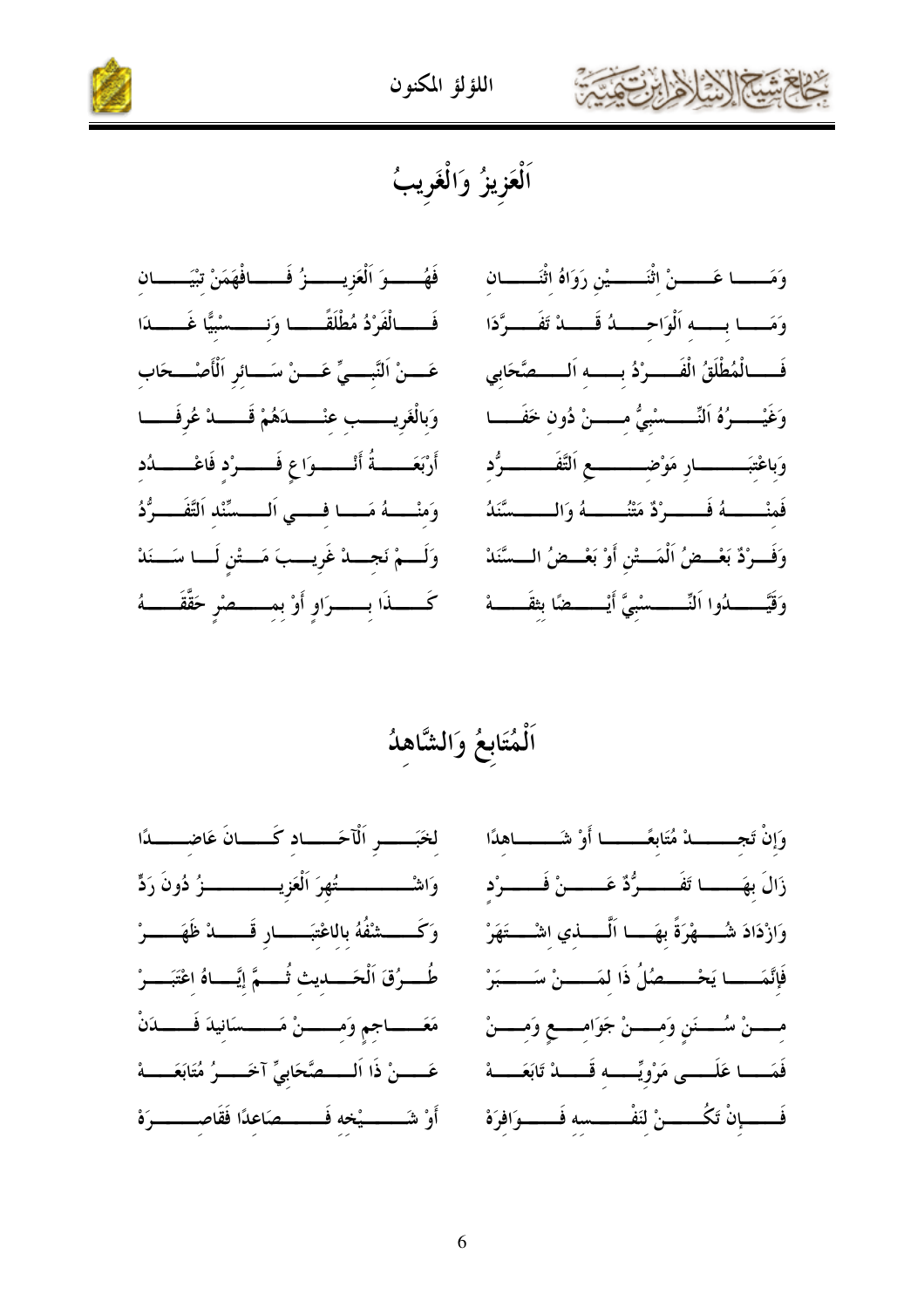



### اَلْعَزِيزُ وَالْغَرِيبُ

فَهُـــوَ اَلْعَزِيـــوْ فَـــافْهَمَنْ تِيَـــان فَـــالْفَرْدُ مُطْلَقَــــــا وَنــــــسْبِيًّا غَــــــدَا عَـــنْ اَلنَّبــــىِّ عَــــنْ سَــــائر اَلْأَصْــــحَاب وَبِالْغَرِيـــــب عنْـــــدَهُمْ قَــــدْ عُرِفَــــا أَرْبَعَــــةُ أَنْــــوَاعٍ فَــــرْد فَاعْـــــدُد وَمنْـــهُ مَـــا فـــي اَلــــسَّنْد اَلتَّفَــــرُّدُ وَلَـــمْ نَجـــدْ غَرِيـــبَ مَـــتْنِ لَـــا سَـــنَدْ كَــــــــذَا بـــــــــرَاو أَوْ بمــــــــصْر حَقَّقَـــــــهُ

وَمَــــا عَـــــنْ اثْنَـــــيْن رَوَاهُ اثْنَــــــان وَمَـــا بــــه اَلْوَاحـــــدُ قَــــدْ تَفَــــرَّدَا فَــــالْمُطْلَقُ الْفَـــــوْدُ بــــــه اَلـــــصَّحَابي وَغَيْـــــرُهُ اَلنِّــــــسْبيُّ مــــــنْ دُونِ خَفَـــــا وَباعْتبَــــــــار مَوْضــــــــــع اَلتَّفَــــــــوُّد فَمنْـــــــهُ فَــــــرْدٌ مَتْنُــــــــهُ وَالــــــسَّنَدُ وَفَسِرْدٌ بَعْسِصُ اَلْمَسِتْنِ أَوْ بَعْسِصُ السِسَّنَدْ وَقَيَّـــــــــدُوا اَلنِّـــــــــسْبيَّ أَيْــــــــضًا بثقَــــــــهْ

لخَبَـــــو اَلْآحَـــــاد كَــــانَ عَاضــــــدًا وَاشْــــــــــــــــُّهرَ اَلْعَزِيــــــــــــــــــزُ دُونَ رَدٍّ وَكَـــــشْفُهُ باللاعْتبَـــــار قَـــــــدْ ظَهَــــــرْ طُـــرُقَ اَلْحَـــــديث ثُـــــمَّ إيَّـــــاهُ اعْتَبَـــــرْ مَعَـــــــــــاجم وَمــــــــــنْ مَـــــــــسَانيدَ فَــــــــدَنْ عَــــنْ ذَا اَلـــــصَّحَابيِّ آخَــــرُ مُتَابَعَــــهْ أَوْ شَــــــيْخه فَــــــصَاعدًا فَقَاصـــــــرَهْ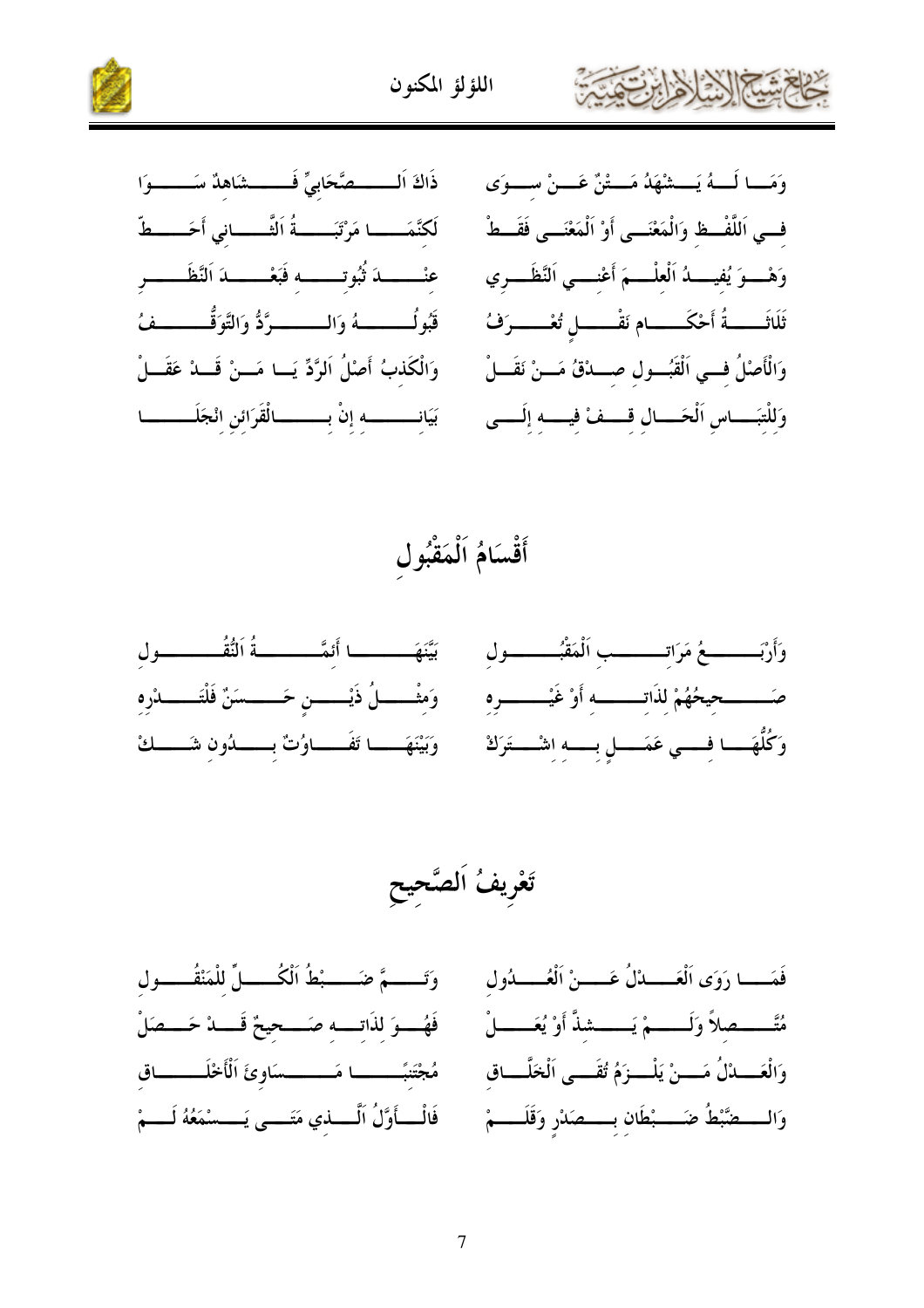



ذَاكَ اَلــــــصَّحَابيٍّ فَــــــشَاهدٌ سَــــــوَا لَكنَّمَـــــا مَرْتَبَـــــةُ اَلثَّـــــاني أَحَــــطّ عنْــــــــــــدَ ثُبُوتـــــــــــه فَبَعْـــــــــدَ اَلنَّظَـــــــــر قَبُولُـــــــــهُ وَالــــــــرَّدُّ وَالتَّوَقُّــــــــفُ وَالْكَذبُ أَصْلُ اَلرَّدِّ يَــا مَــنْ قَـــدْ عَقَـــلْ بَيَانــــــــــــــــــــــ الْقَرَائن انْجَلَــــــــــــا

وَمَــا لَـــهُ يَـــشْهَدُ مَـــتْنٌ عَـــنْ ســـوَى فــى اَللَّفْــظ وَالْمَعْنَـــى أَوْ اَلْمَعْنَـــى فَقَــطْ وَهْـــوَ يُفيــــدُ الْعلْــــمَ أَعْنــــى اَلنَّظَـــري ثَلَاثَــــــةُ أَحْكَــــــام نَقْــــــل تُعْــــــرَفُ وَالْأَصْلُ فسي الْقَبُسول صسدْقُ مَسنْ نَقَسلْ وَللْتَبِــاس اَلْحَـــالِ قَـــفْ فِيـــهِ إِلَـــى

### أَقْسَامُ اَلْمَقْبُول



وَتَــــمَّ ضَــــبْطُ اَلْكُـــالِّ للْمَنْقُـــول فَمَـــا رَوَى اَلْعَــــدْلُ عَــــنْ اَلْعُــــدُول مُتَّــــصلاً وَلَــــمْ يَــــشذَّ أَوْ يُعَـــــلْ فَهُــوَ لذَاتــه صَـــحيحٌ قَـــدْ حَـــصَلْ وَالْعَـــدْلُ مَــــنْ يَلْــــزَمُ تُقَــــى اَلْخَلَّـــاق مُجْتَنبًــــــا مَــــــسَاوئَ اَلْأَخْلَـــــاق فَالْــــأَوَّلُ اَلْـــــذي مَتَــــى يَــــسْمَعُهُ لَــــمْ وَالسَّـــضَّبْطُ ضَــــبْطَان بـــــصَدْر وَقَلَـــــمْ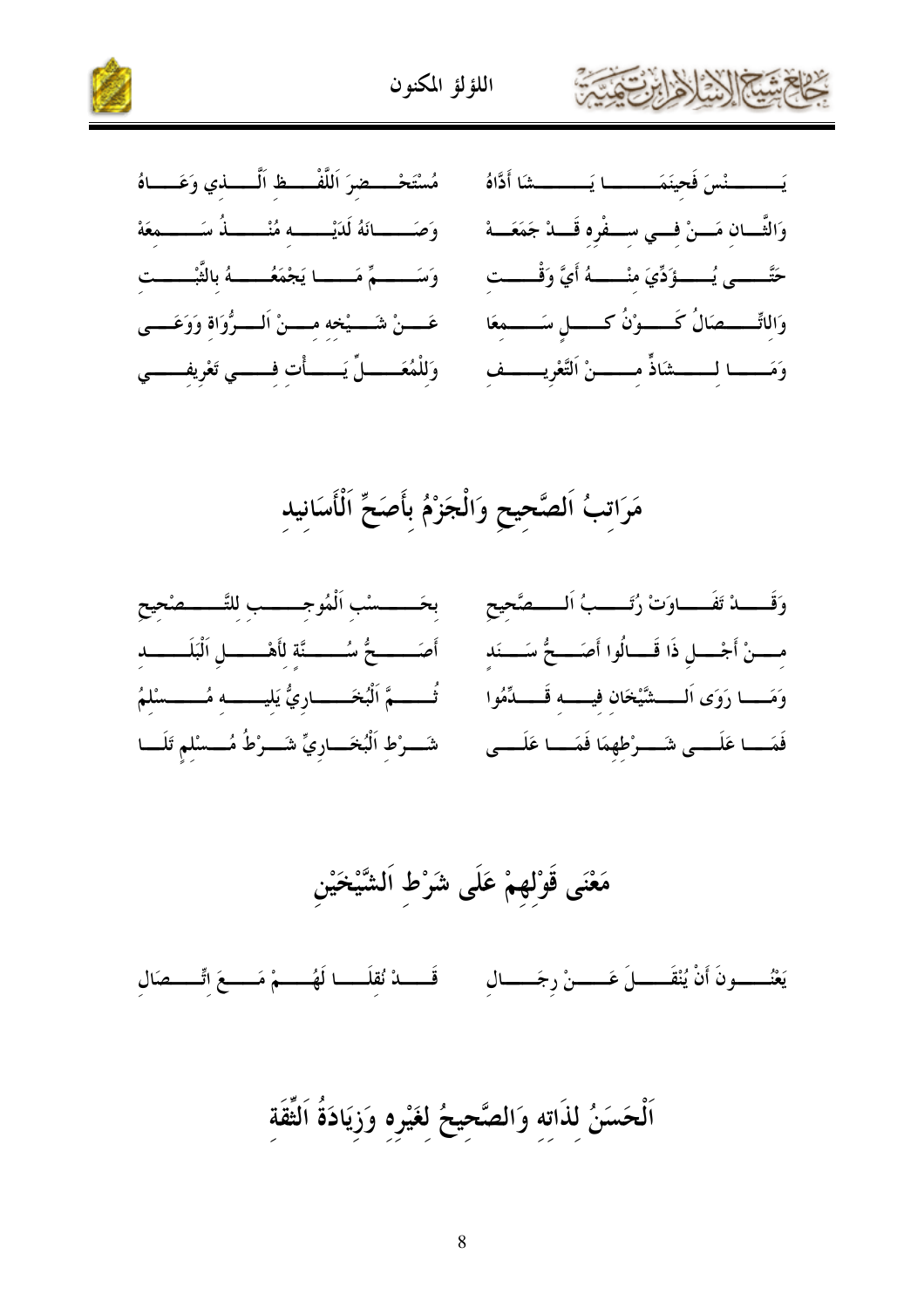

مَرَاتبُ اَلصَّحِيحِ وَالْجَزْمُ بِأَصَحِّ اَلْأَسَانِيد

بحَـــــسْب اَلْمُوجـــــب للتَّـــــصْحيح وَقَــــدْ تَفَــــاوَتْ رُتَــــبُ اَلــــصَّحِح أَصَـــــعُ سُـــــنَّة لأَهْـــــل اَلْبَلَــــــد مــــنْ أَجْــــل ذَا قَــــالُوا أَصَـــــحُّ سَــــنَد وَمَـــا رَوَى اَلــــشَيْخَان فيـــــه قَــــدِّمُوا تُــــــمَّ اَلْبُخَـــــــاريُّ يَليــــــــه مُـــــــسْلمُ شَــرْط اَلْبُخَـــاريٍّ شَــرْطُ مُـــسْلم تَلَـــا فَمَــــا عَلَــــى شَــــرْطهمَا فَمَــــا عَلَــــى

مَعْنَى قَوْلهمْ عَلَى شَرْط اَلشَّيْخَيْن

يَعْنُــــــونَ أَنْ يُنْقَــــــلَ عَــــــنْ رجَــــــال ۚ \_\_\_ قَــــــدْ نُقلَــــــا لَهُــــــمْ مَـــــعَ اتّــــــصَال

اَلْحَسَنُ لذَاته وَالصَّحيحُ لغَيْره وَزِيَادَةُ اَلثَّقَة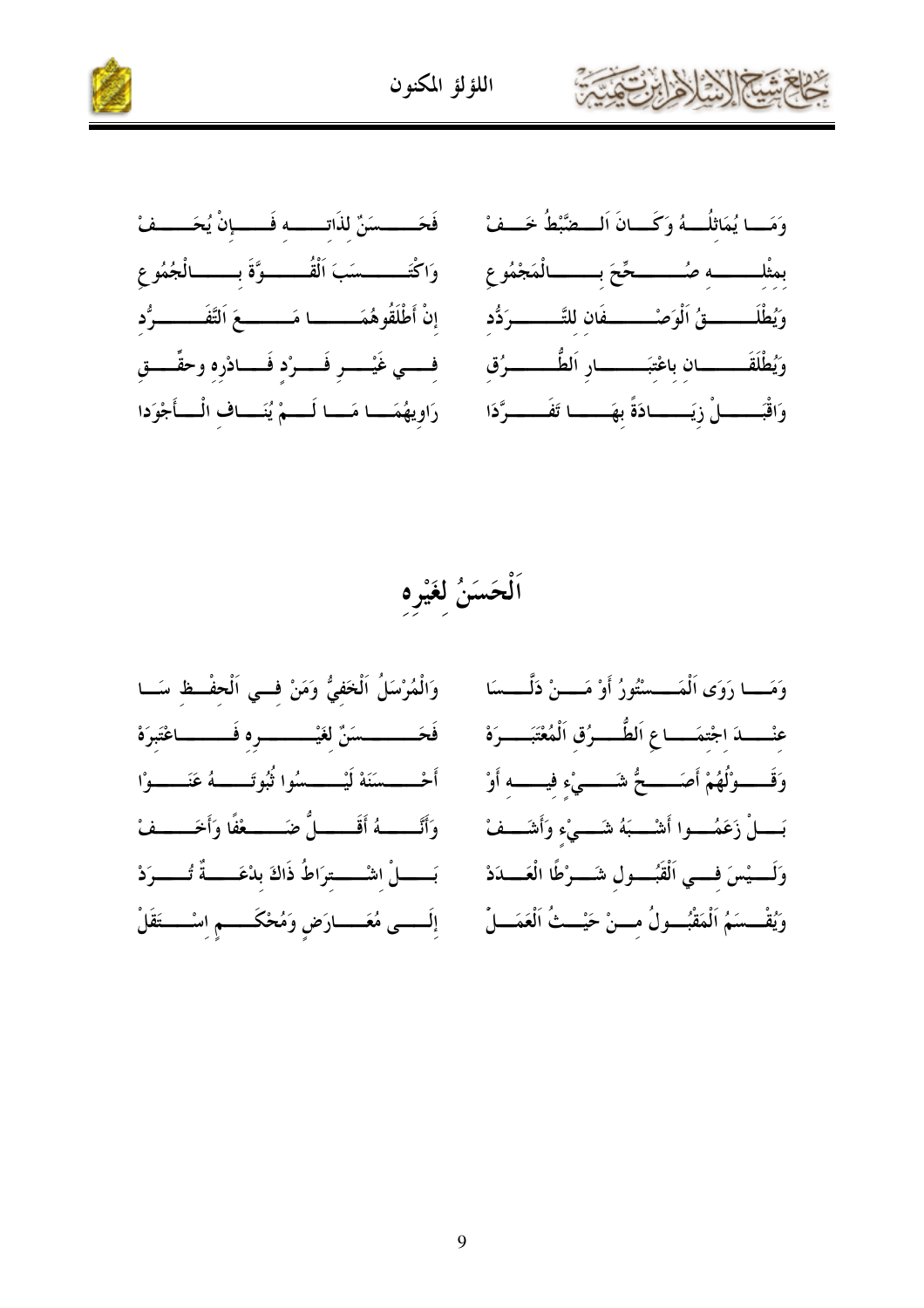

اَلْحَسَنُ لَغَيْرِه

وَالْمُرْسَلُ اَلْخَفِيُّ وَمَنْ فسى اَلْحِفْظْ سَــا فَحَــــــــسَنٌ لغَيْـــــــــــره فَـــــــــاعْتَبِرَهْ أَحْــــسَنَهْ لَيْـــــسُوا ثُبُوتَـــــهُ عَنَــــوْا وَأَنَّـــــهُ أَقَـــــلٌ ضَـــــعْفًا وَأَخَــــفْ بَــــــلْ اشْــــــترَاطُ ذَاكَ بِدْعَـــــةٌ تُـــــرَدْ إِلَـــــى مُعَـــــارَضِ وَمُحْكَــــــمِ اِسْــــــتَقَلْ

وَمَـــا رَوَى اَلْمَـــسْتُورُ أَوْ مَـــنْ دَلَّـــسَا عنْــــدَ اجْتمَـــاعِ اَلطَّــــرُق اَلْمُعْتَبَــــرَهْ وَقَــــوْلُهُمْ أَصَـــــحُّ شَـــــىْء فيـــــه أَوْ بَــــلْ زَعَمُــــوا أَشْــــبَهُ شَــــىْء وَأَشَـــفْ وَلَــــيْسَ فــــى اَلْقُبُـــــول شَــــرْطًا الْعَــــدَدْ وَيُقْــسَمُ اَلْمَقْبُـــولُ مــــنْ حَيْـــثُ الْعَمَـــلْ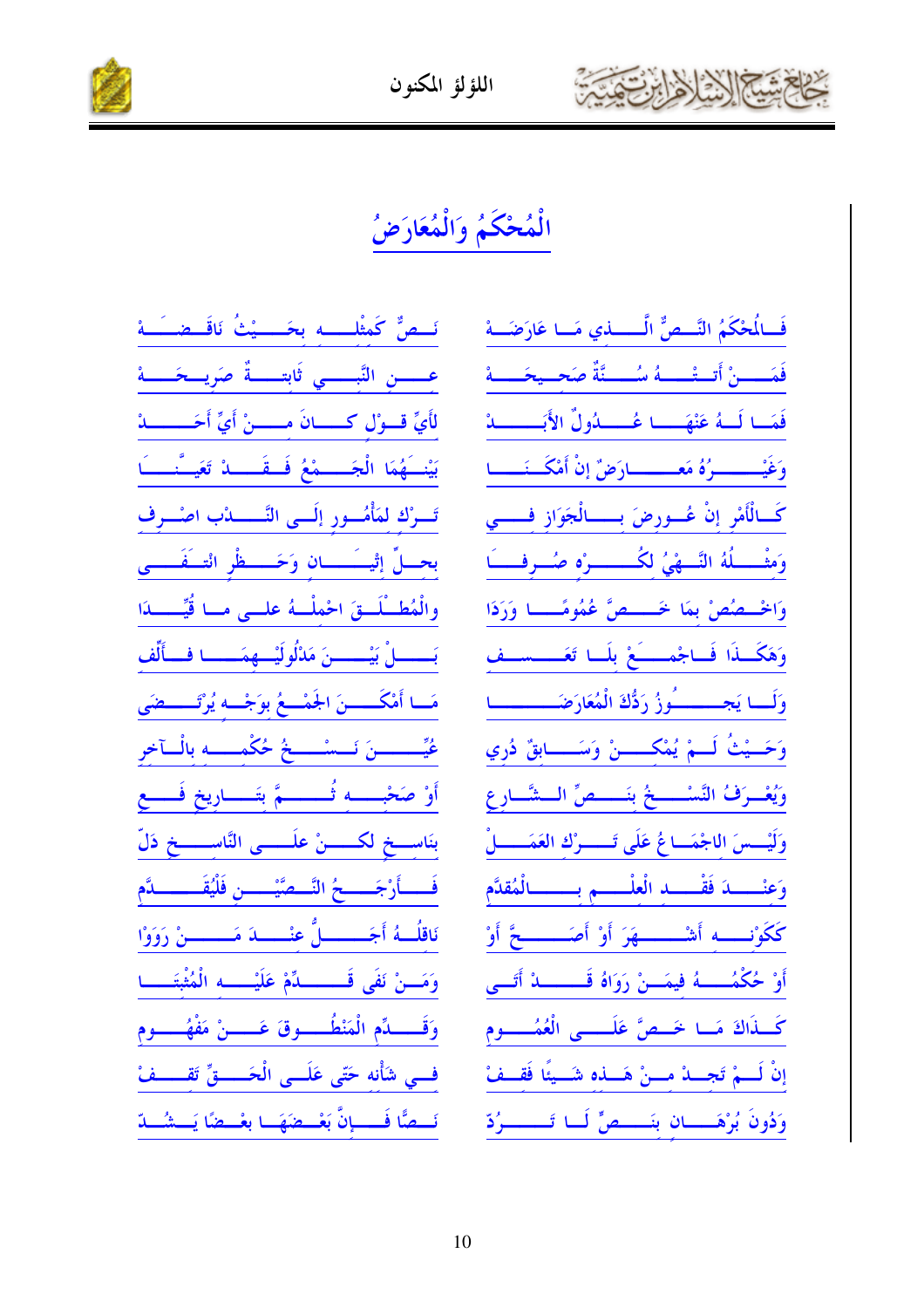



### الْمُحْكَمُ وَالْمُعَارَضُ

نَسْصٌ كَمِثْلِسْسِه بِحَسِسِيْتُ نَاقَسِصْسَـهْ عـــــن النَّبـــــى ثَابتـــــةٌ صَرِيـــحَـــــهْ لأَيِّ قَسُوْلُ كَسْسَانَ مَسْسَنْ أَيِّ أَحَسْسَسْهْ بَيْنَـــهُمَا الْجَـــــمْعُ فَــقَـــــا تَعَيَـــُّنـــــاً تَسَرْكَ لَمَأْمُسُورِ إِلَــي النَّـــــــدْبِ اصْسَـرِف بحــلٍّ إِتْيـــَـــــان وَحَــــظْرِ الْتــفَــــى والْمُطَـلَــقَ احْملْــهُ علــى مــا قُيِّــــدَا بَــــــــلْ بَيْــــــــنَ مَدْلُولَيْـــهمَــــــا فـــألِّف مَــا أَمْكَـــــنَ الجَمْـــعُ بوَجْــه يُرْتَـــــضَى عُيِّــــــــنَ نَـــسْـــــخُ حُكْمــــــه بالْــآخر أَوْ صَحْبِـــه ثُــــــمَّ بتَــــاريخ فَــــع بنَاســخ لكــــــنْ علَــــــى النَّاســــــخ دَلِّ فَـــــأَرْجَــــــحُ النَّـــصَّيْـــــــن فَلْيُقَـــــــــــدَّم نَاقِلُـــهُ أَجَـــــــــلُّ عنْـــــــدَ مَـــــــــنْ رَوَوْا وَمَــنْ نَفَى قَــــــــــدِّمْ عَلَيْـــــــه الْمُثْبَتَــــــا وَقَـــــدِّم الْمَنْطُـــــوقَ عَـــــنْ مَفْهُـــــوم فسى شأْنه حَتّى عَلَــى الْحَـــــقِّ تَقـــــفْ نَسطًا فَسسانَّ بَعْسطَهَسا بِعْسطاً يَسشُسلاّ

فَسَالُحْكَمُ النَّسْصُّ الَّـــــــــذي مَـــا عَارَضَـــة فَمَـــــنْ أَتــتْــــــهُ سُــــــنَّةٌ صَحــيحَـــــهْ فَمَــا لَـــهُ عَنْهَـــــا عُــــــدُولٌ الأَبَـــــــــدُّ وَغَيْــــــــــوُهُ مَعـــــــــارَضٌ إِنْ أَمْكَـــَــــــا كَــالْأَمْرِ إنْ عُـــورضَ بــــــالْجَوَازِ فــــــي وَمشْــــلُهُ النَّـــهْىُ لكُـــــــــوْه صُـــوفْـــــَا وَالْحُسْصُصْ بِمَا خَسْسْصٌ عُمُومًــا وَرَدَا وَهَكَــذَا فَــاجْمــــــَعْ بِلَــا تَعَــــســف وَلَــا يَجَـــــــُوزُ رَدُّكَ الْمُعَارَضَــــــــــا وَحَــيْتُ لَـــمْ يُمْكَـــــنْ وَسَـــــابقٌ دُري ويُعْسَرَفُ التَّسْسَمُّ بِتَسْسَمِّ الْسَشَّارِ عِ وَلَيْــسَ اللجْمَــاعُ عَلَى تَـــــوْك العَمَـــــلْ وَعِنْـــــدَ فَقْـــــد الْعِلْــــــم بـــــــالْمُقدَّم كَكَوْنِــــه أَشْـــــــهَرَ أَوْ أَصَــــــــحَّ أَوْ أَوْ حُكْمُــــــهُ فيمَـــنْ رَوَاهُ قَــــــــــدْ أَتَـــى كَــذَاكَ مَــا خَــصَّ عَلَـــــى الْعُمُـــــوم إنْ لَـــمْ تَجــــدْ مــــنْ هَــــذه شَـــيئًا فَقـــفْ وَدُونَ بُرْهَـــــان بنَـــــصٍّ لَـــا تَــــــــرُدّ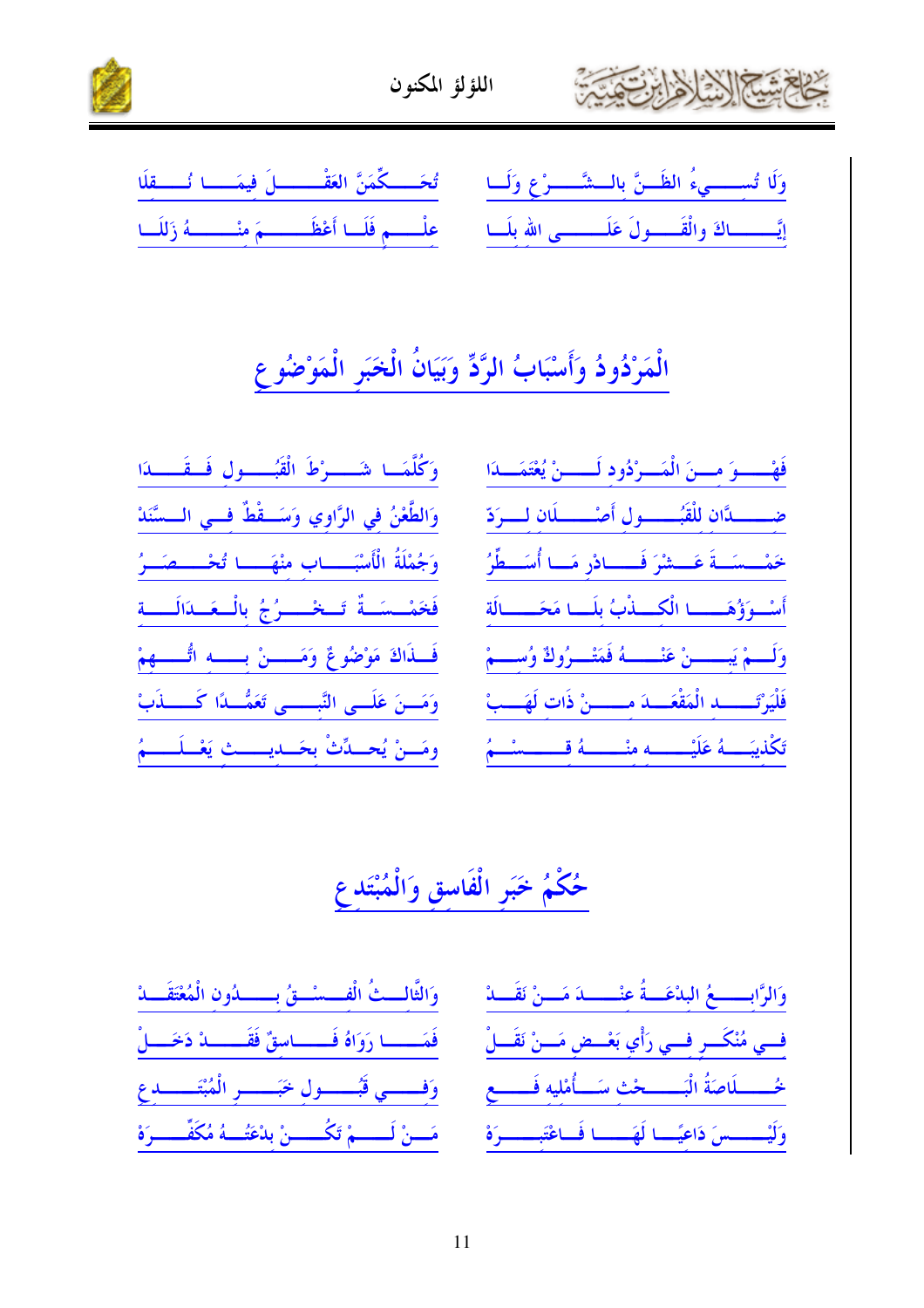



|  |  | وَلَا تُسِسِيءُ الظَـنَّ بِالْـشَّـرْعِ وَلَــا * تُحَــكِّمَنَّ العَقْـــــلَ فِيمَـــا تُـــقِلَا               |  |  |
|--|--|-------------------------------------------------------------------------------------------------------------------|--|--|
|  |  | إِيَّـــــاكَ والْقَــــولَ عَلَـــــــى الله بلَـــا مع علـــــم فَلَــا أَعْظَـــــــمَ مِنْــــــــهُ زَللَــا |  |  |

# الْمَرْدُودُ وَأَسْبَابُ الرَّدِّ وَبَيَانُ الْخَبَرِ الْمَوْضُوعِ

| وَكُلَّمَــا شَـــــوْطَ الْقُبُــــــول فَــقَــــدَا     |
|------------------------------------------------------------|
| وَالطَّعْنُ في الرَّاوِي وَسَــقْطٌ فــي الــسَّنَدْ       |
| وَجُمْلَةُ الْأَسْبَــــــاب منْهَــــــا تُحْـــــصَـــرُ |
| فَخَمْــسَــةٌ تَـــخْــــرُجُ بِالْــعَــدَالَــــةِ      |
| فَسَنَاكَ مَوْضُوعٌ وَمَـــــنْ بِـــــهِ اتُّــــــهِمْ   |
| وَمَــنَ عَلَــى النَّبـــــى تَعَمُّــدًا كَـــــذَبْ     |
| ومَسنْ يُحسدِّثْ بِحَسدِيسستِ يَعْسلَسسمُ                  |

| فَهْـــوَ مــنَ الْمَــرْدُود لَــــنْ يُعْتَمَـــدَا           |  |
|-----------------------------------------------------------------|--|
| ضـــــــدًان للْقَبُــــــول أَصْـــــــلَان لــــوَدّ          |  |
| خَمْــسَــةَ عَـــشْرَ فَـــــادْر مَــا أُسَــطِّرُ            |  |
| أَسْوَؤُهَــــا الْكَـــذْبُ بلَـــا مَحَـــــالَة              |  |
| وَلَـــمْ يَبــــــنْ عَنْــــــهُ فَمَتْـــرُوكٌ وُســـمْ      |  |
| فَلْيَرْتَــــــــد الْمَقْعَـــدَ مـــــــنْ ذَات لَهَـــبْ    |  |
| تَكْذِيبَــــهُ عَلَيْــــــــه منْـــــــهُ قـــــــــــشـــمُ |  |

# حُكْمُ خَبَرِ الْفَاسقِ وَالْمُبْتَدِعِ

| وَالثَّالِــثُ الْفـــسْــقُ بــــــدُون الْمُعْتَقَـــدْ     | وَالرَّابِــــــعُ البِدْعَـــةُ عِنْــــــدَ مَـــنْ نَقَـــدْ |
|---------------------------------------------------------------|-----------------------------------------------------------------|
| فَمَــــا رَوَاهُ فَـــــاسِقٌ فَقَـــــــاْ دَخَــــالْ      | فِسِي مُنْكَسِرِ فِسِي رَأْيِ بَعْسِضٍ مَسنْ نَقَسلْ            |
| وَفِسْسِي قَبُسْسُولِ خَبَسْسِرِ الْمُبْتَـسْسَدِع            | خُــــــلَاصَةُ الْبَـــــــحْثِ سَــــأَمْلِيهِ فَــــــعِ     |
| مَـــنْ لَــــــمْ تَكُــــــنْ بلْعَتُـــهُ مُكَفِّـــــرَهْ | وَلَيْـــسسَ دَاعِيًــا لَهَـــا فَـاعْتَبـــــرَهْ             |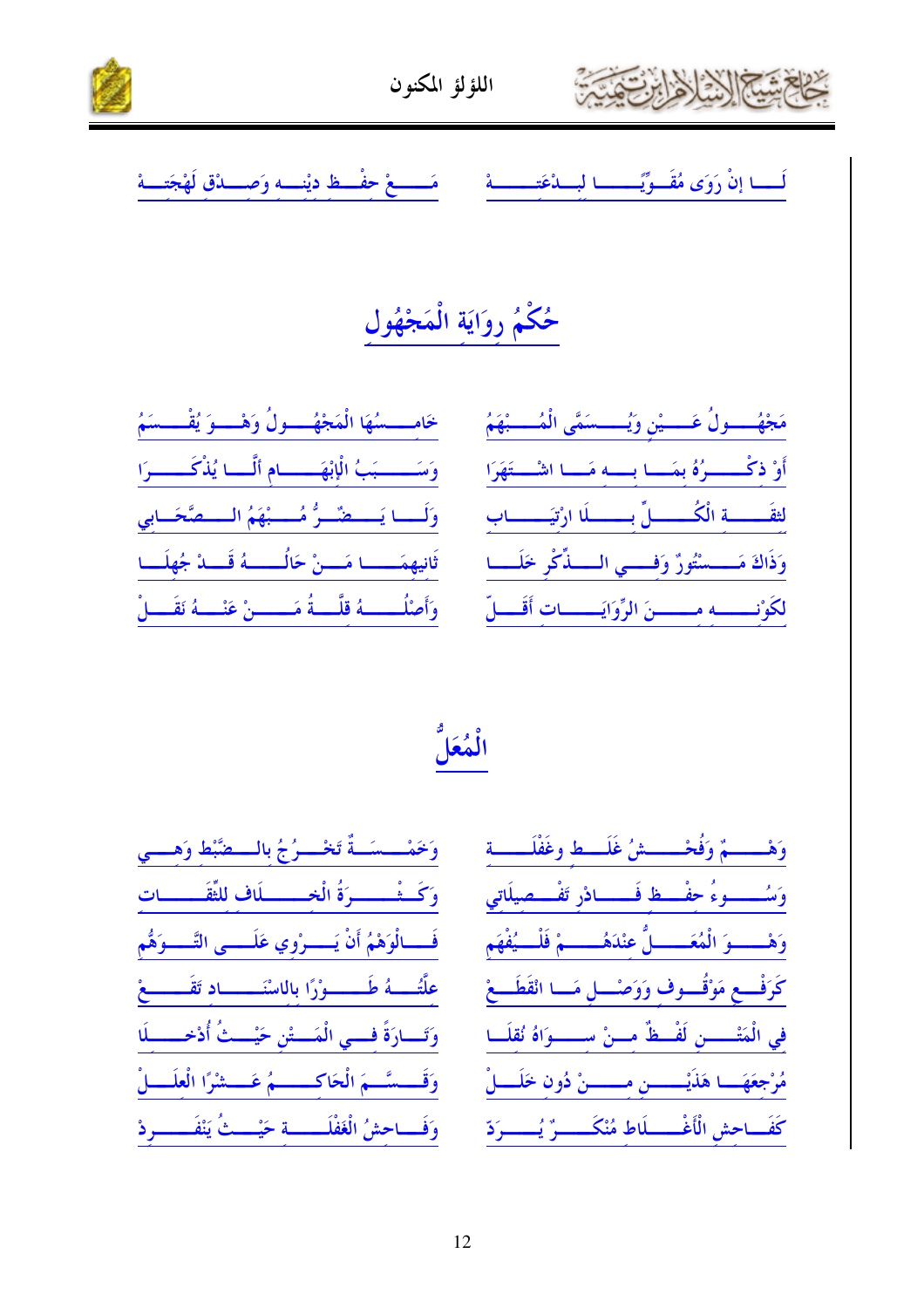



مَـــــعْ حفْــظ ديْنـــه وَصــــدْق لَهْجَتـ لَـــا إِنْ رَوَى مُقَــوِيَّـــــا لِسِــدْعَتِـــــة  $\mathbf{a}$ 

# لحُكْمُ رِوَايَةِ الْمَجْهُول

| خَامـــــسُهَا الْمَجْهُــــولُ وَهْــــوَ يُقْــــسَمُ  |  |  |
|----------------------------------------------------------|--|--|
| وَسَــــبَبُ الْإِبْهَـــامِ أَلَّــا يُذْكَــــرَا      |  |  |
| وَلَــا يَـــضٌــرُّ مُـــبْهَمُ الـــصَّحَــابِي        |  |  |
| ثَانِيهِمَـــــا مَـــنْ حَالُـــــهُ قَـــدْ جُهلَـــا  |  |  |
| وَأَصْلُمِــــهُ قَلَّــةُ مَـــــنْ عَنْـــهُ نَقَـــلْ |  |  |

| مَجْهُرُولُ عَرْشٍ وَيُسْسَمَّى الْمُسْبَهَىْ                 |  |
|---------------------------------------------------------------|--|
| أَوْ ذِكْـــــرُهُ بِمَـــا بـــه مَـــا اشْـــتَهَرَا        |  |
| لثقَــــــــة الْكُـــــــــلّ بــــــــلَا ارْتيَـــــــــاب |  |
| وَذَاكَ مَــــسْتُورٌ وَفِــــي الـــــذِّكْرِ حَلَــــا      |  |
| لكَوْنسسه مسسنَ الرِّوَايَـــاتِ أَقَـــلِّ                   |  |

الْمُعَلُّ

| وَحَمْـــسَــةٌ تَحْـــرُجُ بالـــضَّبْط وَهـــي         |  |  |
|----------------------------------------------------------|--|--|
| وَكَــثْــــــرَةُ الْخـــــــلَاف للثَّقَــــــات       |  |  |
| فَـــالْوَهْمُ أَنْ يَــــرْوي عَلَــــى التَّــــوَهُّم |  |  |
| علَّتُـــهُ طَـــــوْرًا بالاسْنَـــــاد تَقَـــــعْ     |  |  |
| وَتَــارَةً فِـــي الْمَـــتْن حَيْـــثُ أُدْخـــــلَا   |  |  |
| وَقَـــسَّــمَ الْحَاكــــــمُ عَـــشْرًا الْعلَـــلْ    |  |  |
| وَفَـــاحشُ الْغَفْلَـــــــة حَيْـــثُ يَنْفَـــــــردْ |  |  |

| وَهْــــــمٌ وَفُحْــــــشُ غَلَـــط وغَفْلَــــــة                 |  |
|---------------------------------------------------------------------|--|
| وَسُــــــوءُ حفْـــظ فَــــــادْر تَفْـــصيلَاتي                   |  |
| وَهْـــــــوَ الْمُعَــــــــلُّ عِنْدَهُـــــــمْ فَلْــــيُفْهَمِ |  |
| كَرَفْــعِ مَوْقُـــوف وَوَصْــــل مَـــا انْقَطَـــعْ              |  |
| في الْمَتْــــــن لَفْـــظٌ مـــنْ ســــــوَاهُ نُقلَـــا           |  |
| مُرْجَعَهَـــا هَذَيْـــــــن مــــــنْ دُون خَلَــــلْ             |  |
| كَفَــاحش الْأَغْـــــلَاط مُنْكَـــــرٌ يُــــــردّ                |  |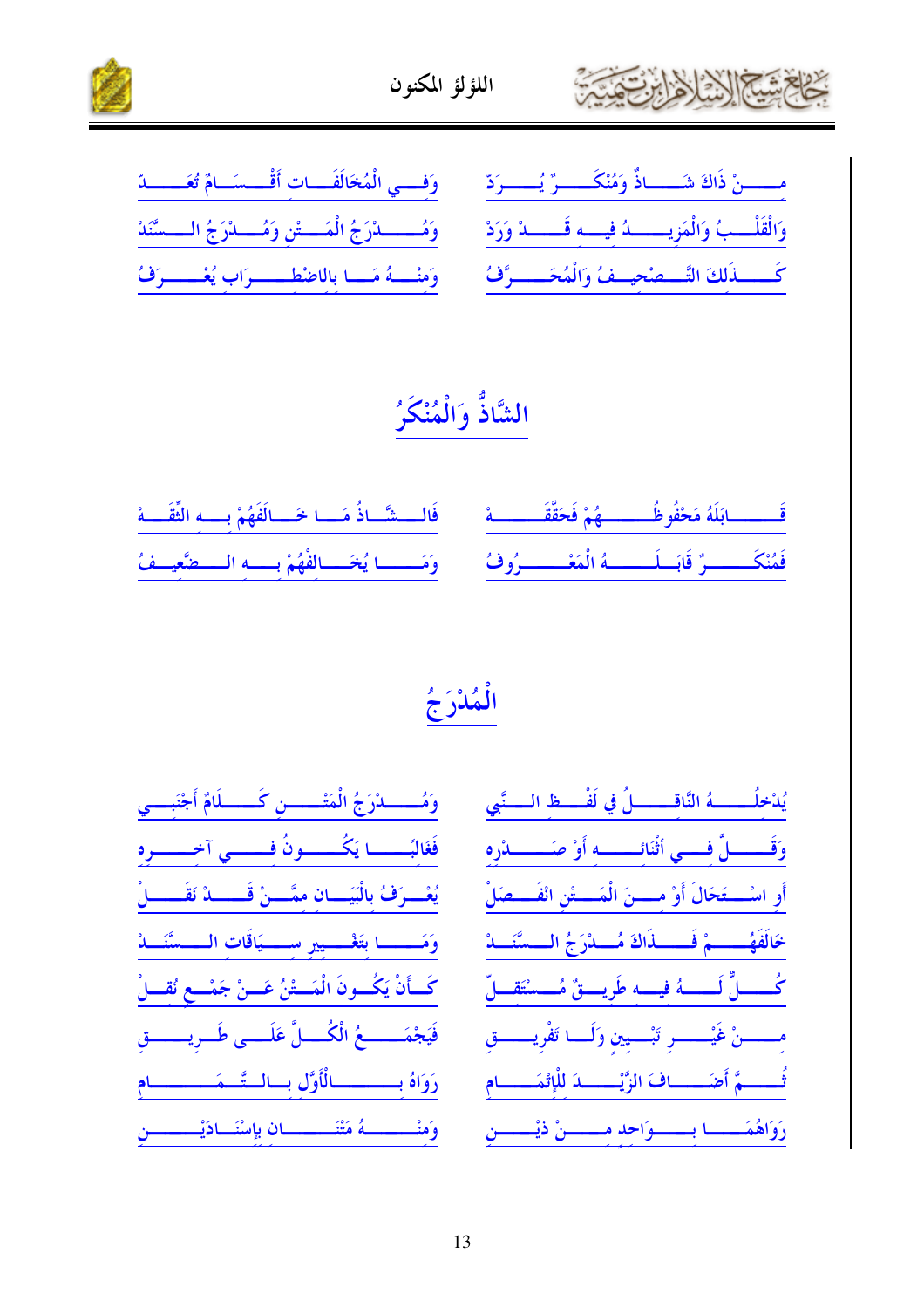



| مسسنْ ذَاكَ شَــاذٌ وَمُنْكَــــرٌ يُــــوَدّ مــــووفــــي الْمُخَالَفَـــاتِ أَقْـــسَــامٌ تُعَــــــدّ         |  |
|--------------------------------------------------------------------------------------------------------------------|--|
| وَالْقَلْسِبُ وَالْمَزِيسِسِيدُ فِيسِهِ قَسِسِدْ وَرَدْ مِنْ وَمُسْسِدْرَجُ الْمَسْسَّنِ وَمُسْلَارَجُ السَسَّنَدْ |  |
| كَــــذَلكَ التَّـــصْحِيــفُ وَالْمُحَـــــرَّفُ ۚ وَمِنْـــهُ مَــا بِالاضْطَـــــرَابِ يُعْـــــرَفُ            |  |

# الشَّاذُّ وَالْمُنْكَنُ

| قَـــــــابَلَهُ مَحْفُوظُـــــــــهُمْ فَحَقَّقَـــــــــهْ       فَالــــشّــاذُ مَـــا خَـــالَفَهُمْ بــــه الثِّقَــــهْ |  |  |
|-------------------------------------------------------------------------------------------------------------------------------|--|--|
| فَمُنْكَـــــــرٌ قَابَــلَـــــــهُ الْمَعْـــــــرُوفُ        وَمَـــــا يُخَـــالِفْهُمْ بِــــهِ الــــضَّعِيــفُ         |  |  |

الْمُدْرَجُ

| وَمُــــــدْرَجُ الْمَتْـــــــنِ كَـــــلَامٌ أَجْنَبِـــي  | يُدْخِلُـــــــهُ النَّاقــــــــلُ في لَفْــــظ الــــنَّبِي |
|--------------------------------------------------------------|---------------------------------------------------------------|
| فَغَالبَــــــا يَكُــــــونُ فــــــي آخــــــره            | وَقَــــــلَّ فِــــي أَثْنَائــــــــه أَوْ صَـــــــــدْره  |
| يُعْسِرَفُ بِالْبَيَسَانِ ممَّسِنْ قَــــــدْ نَقَــــــلْ   | أَو اسْـــتَحَالَ أَوْ مــــنَ الْمَــــتْنِ انْفَـــصَلْ     |
| وَمَـــــا بتَغْـــير ســـيَاقَات الـــسَّنَـــاهْ           | خَالَفَهُـــــمْ فَـــــذَاكَ مُـــدْرَجُ الـــسَّنَــدْ      |
| كَـأَنْ يَكُــونَ الْمَــتْنُ عَــنْ جَمْــعِ نُقِــلْ       | كُــــــلٌّ لَـــــــهُ فيـــه طَريــــقٌ مُـــسْتَقـــلّ     |
| فَيَجْمَـــــعُ الْكُـــلَّ عَلَـــى طَــرِيــــــقِ         | مسسىنْ غَيْسسىر تَبْسيين وَلَسا تَفْريسسق                     |
| رَوَاهُ بِـــــــالْأَوَّلِ بِــالـتَّــمَــــــــام         | تُـــــمَّ أَضَـــــافَ الزَّيْــــــــدَ لِلْإِتْمَـــــــام |
| وَمِنْــــــــهُ مَتْنَـــــــــان بِإِسْنَــادَيْــــــــنِ | رَوَاهُمَـــا بـــوَاحِدِ مـــــنْ ذيْــــنِ                  |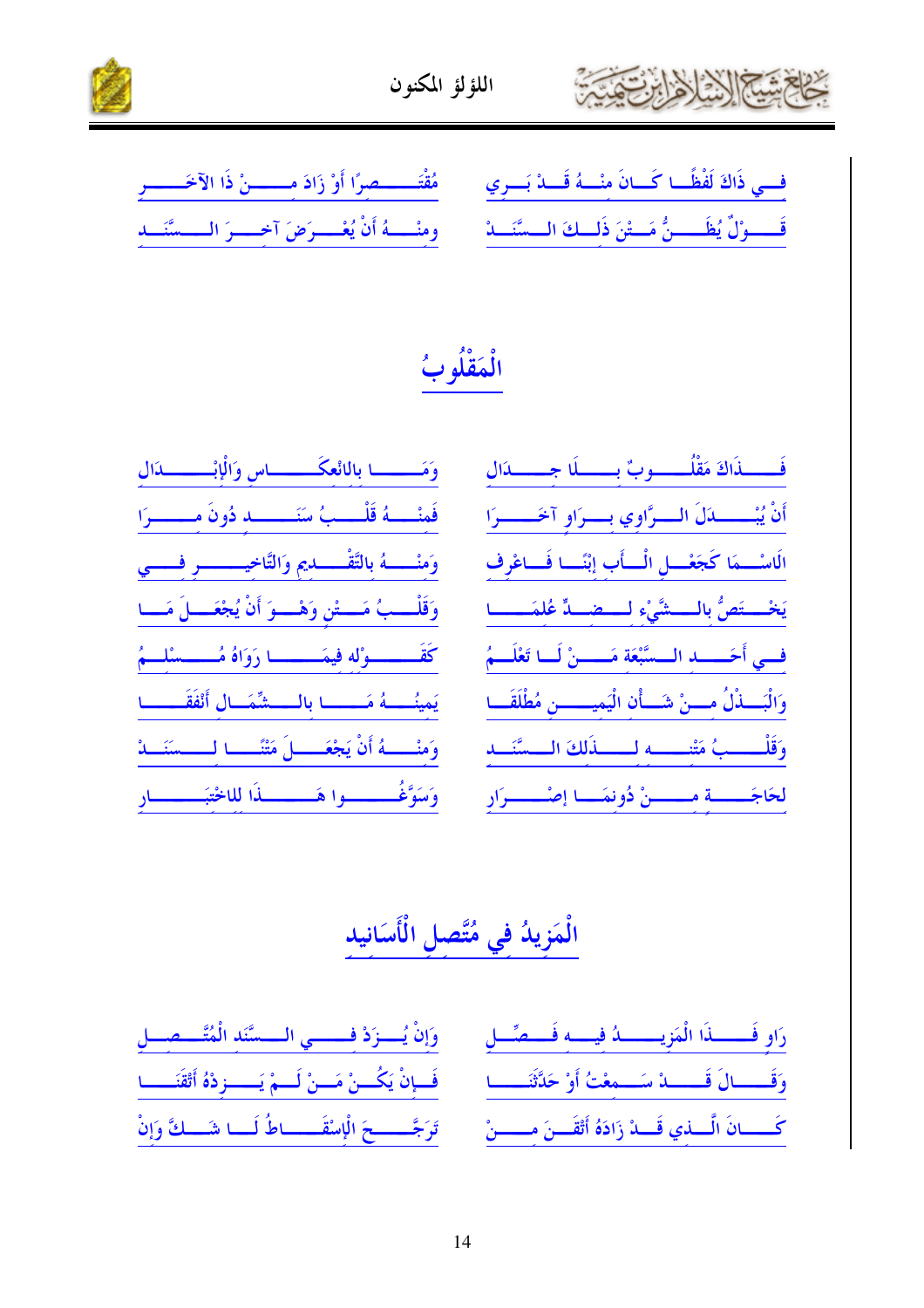



| في ذَاكَ لَفْظًـا كَــانَ مِنْــهُ قَـــدْ بَــرِي مُهْتُمَـــــصِرًا أَوْ زَادَ مِــــــنْ ذَا الآخَـــــرِ |  |
|--------------------------------------------------------------------------------------------------------------|--|
| قَــــوْلِّ يُظَـــــنُّ مَـــتْنَ ذَلــكَ الــسَّنَـــدْ للله عنه أنْ يُعْــــرَضَ آخــــرَ الــــسَّنَـــد |  |

الْمَقْلُوبُ

| وَمَــــــا بالالْعكَـــــــاس وَالْإِبْـــــــدَال          | فَـــــــذَاكَ مَقْلُــــــــوبٌ بـــــــلَا جـــــــدَال  |
|--------------------------------------------------------------|------------------------------------------------------------|
| فَمِنْــــهُ قَلْــــبُ سَنَــــــــــهِ دُونَ مــــــــرَا  | أَنْ يُبْــــــدَلَ الـــرَّاوي بـــرَاو آخَـــــرَا       |
| وَمنْـــــهُ بالتَّقْــــــديم وَالتَّاخِيـــــــــر فـــــي | الَاسْــمَا كَجَعْــل الْــأب إنْنَــا فَــاعْرف           |
| وَقَلْــبُ مَــتْنِ وَهْــوَ أَنْ يُجْعَــلَ مَــا           | يَخْسِتَصُّ بِالْمِسْتَيْءِ لِمَسْمَلٍّ عُلْمَسْسَا        |
| كَقَـــــــــوْله فيمَـــــــــــا رَوَاهُ مُـــــــسْلـــمُ | في أحَــــد الــسَّبْعَة مَــــنْ لَــا تَعْلَــمُ         |
| يَمينُــــهُ مَــــــا بالــــشِّمَــال أَنْفَقَــــــا      | وَالْبَـــذْلُ مـــنْ شَـــأْن الْيَميــــــن مُطْلَقَـــا |
| وَمنْـــــهُ أَنْ يَجْعَـــــلَ مَتْنَــــا لـــــسَنَـــدْ  | وَقَلْــــبُ مَتْنـــــه لـــــذَلكَ الــسَّنَـــد         |
| وَسَوَّغُــــــــوا هَـــــــــــذَا للاخْتبَـــــــــار     | لحَاجَـــــــة مـــــــنْ دُونمَـــا إصْــــــرَار         |

الْمَزِيدُ فِي مُتَّصِلِ الْأَسَانِيدِ

|                                                            | رَاوِ فَـــــذَا الْمَزِيـــــــدُ فِيـــهِ فَـــصِّــلِ ۚ ___ وَإِنْ يُـــزَدْ فِــــــي الـــسَّنَد الْمُتَّـــصِــلِ   |
|------------------------------------------------------------|---------------------------------------------------------------------------------------------------------------------------|
| فَسِإِنْ يَكُسِنْ مَسنْ لَسِمْ يَـــــزِدْهُ أَتْقَنَــــا | وَقَـــالَ قَــــدْ سَــمعْتُ أَوْ حَدَّثَنَـــا                                                                          |
|                                                            | كَــــانَ الَّـــذي قَـــدْ زَادَهُ أَتْقَـــنَ مـــــــنْ ۚ _ تَرَجَّـــــــحَ الْإِسْقَــــــاطُ لَـــا شَـــكَّ وَإِنْ |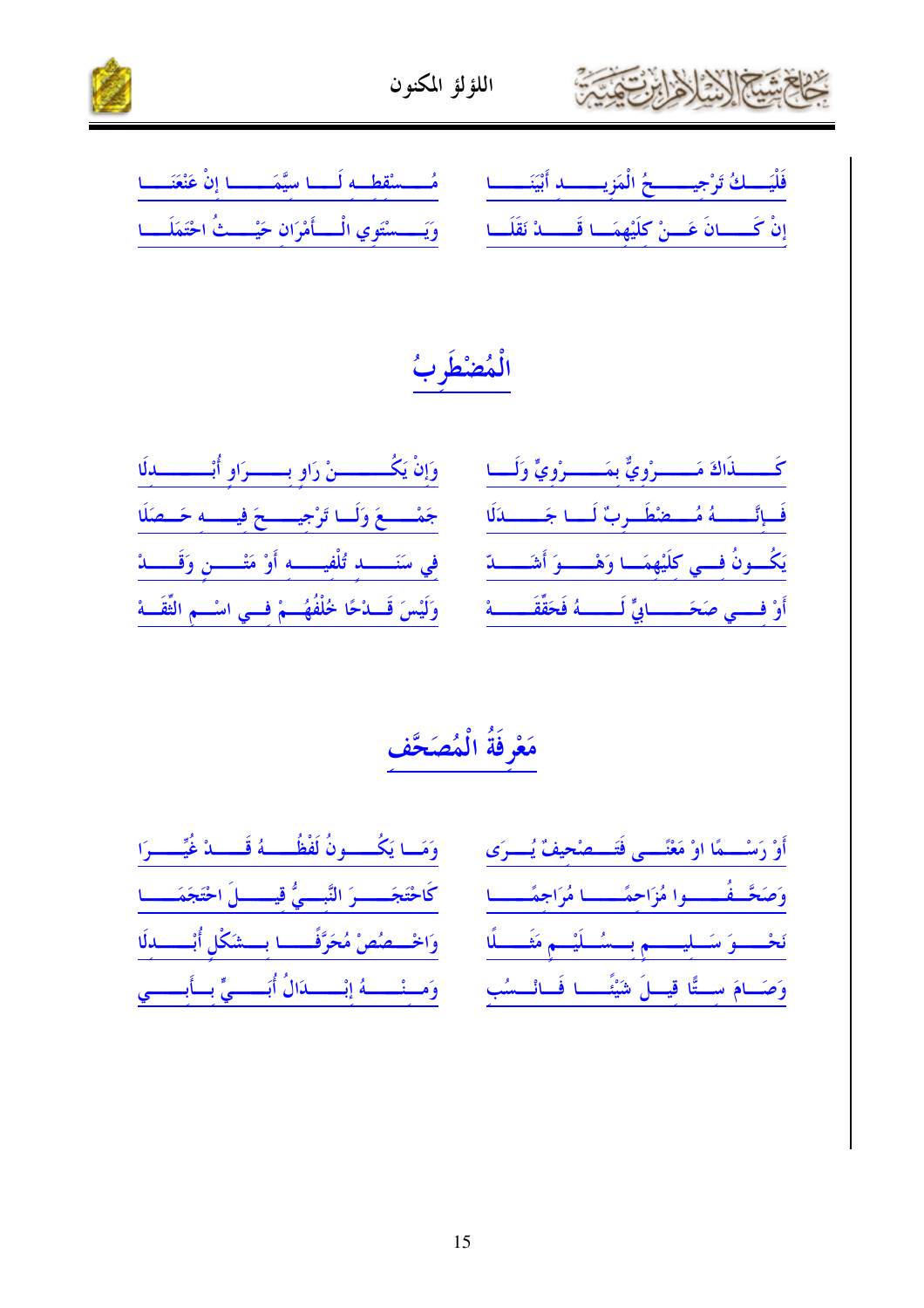



فَلْيَسِكُ تَرْجِيسِيحُ الْمَزِيسِيدِ أَبْيَنَسِيمِ مُسْسَقِطِيهِ لَسَا سِيَّمَسِيمَا إِنْ عَنْعَنَسَا إنْ كَـــانَ عَــنْ كلَيْهِمَــا قَـــــدْ نَقَلَــا مَسْ وَيَـــسْتَوِي الْــــأَمْرَان حَيْـــثُ احْتَمَلَـــا

الْمُضْطُرِبُ

|                                                                           | كَــــــذَاكَ مَـــــــرْوِيٌّ بِمَــــــرْوِيٍّ وَلَـــا ۚ وَإِنْ يَكُــــــــنْ رَاوِ بِـــــــرَاوِ أُبْـــــــــــدِلَا |
|---------------------------------------------------------------------------|-----------------------------------------------------------------------------------------------------------------------------|
|                                                                           | فَسِإِنَّــــهُ مُستَفَطَّـرِبٌ لَـــا جَـــــدَلَا } . جَمْــــعَ وَلَــا تَرْجِيـــــعَ فِيــــه حَــصَلَا                |
| فِي سَنَـــــــــــدِ تُلْفِيــــــــهِ أَوْ مَتْــــــــنِ وَقَـــــــدْ | يَكُسونُ فسي كِلَيْهِمَسا وَهْسِسوَ أَشَسْسِدَ                                                                              |
| وَلَيْسَ قَـــدْحًا خُلْفُهُـــمْ فـــي اسْـــم الثَّقَـــهْ              | أَوْ فسي صَحَـــــابِيٍّ لَـــــهُ فَحَقِّقَـــــهْ                                                                         |

مَعْرِفَةُ الْمُصَحَّف

| وَمَسا يَكُسَّسُونُ لَفْظُسْـهُ قَسْسَدْ غُيِّسْـــرَا | أَوْ رَسْـــمًا اوْ مَعْنَـــى فَتَـــصْحِيفٌ يُـــرَى                                                     |
|--------------------------------------------------------|------------------------------------------------------------------------------------------------------------|
| كَاحْتَجَـــــرَ النَّبـــيُّ قيـــــلَ احْتَجَمَــــا | وَصَحَّـفُـــوا مُزَاحِمًـــا مُرَاجِمًـــا                                                                |
| وَاخْسِصُصْ مُحَرَّفَـــا بِــشَكْلِ أُبْــــدلَا      | نَحْسَسُوَ سَسَلِيسِتِيمِ بِسَسْسَلَيْسِمِ مَغَسَّسَلًا                                                    |
|                                                        | وَصَامَ سِتًّا قِسلَ شَيْئَـــا فَــانْــسُبِ مِنْ وَمــنْــــهُ إِنْـــــاالُ أُبَـــــيٍّ بِــأَبِـــــي |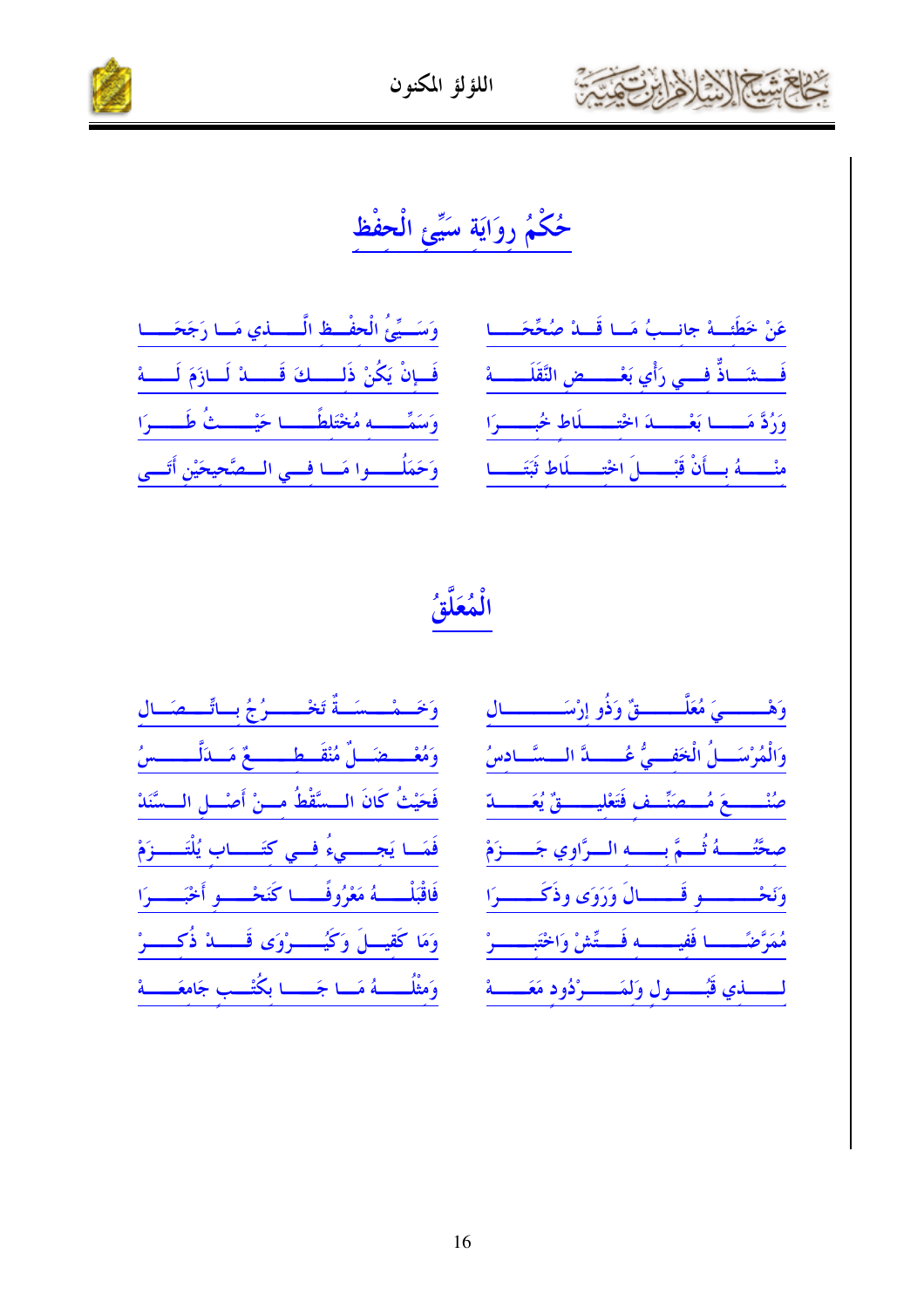

#### اللؤلؤ المكنون



# حُكْمُ رِوَايَةِ سَيِّئِ الْحِفْظ

|  |  | وَسَسِّئُ الْحِفْظِ الَّــــــــني مَــا رَجَحَــــا |
|--|--|------------------------------------------------------|
|  |  | فَإِنْ يَكُنْ ذَلِـــكَ قَــــدْ لَــازَمَ لَـــــهْ |
|  |  | وَسَمِّـــه مُخْتَلِطًـــا حَيْـــثُ طَــــرَا       |
|  |  | وَحَمَلُــــوا مَــا فِــي الــمتَّحِيحَيْنِ أَتَــى |

| عَنْ خَطَئِــهْ جانــبُ مَــا قَـــدْ صُحِّحَــــا            |  |  |
|---------------------------------------------------------------|--|--|
| فَـــشَــاذٌّ فِـــي رَأْي بَعْــــــضِ النَّقَلَــــــهْ     |  |  |
| وَرُدَّ مَــــــا بَعْــــــدَ اخْتِــــــلَاطِ خُبِــــــوَا |  |  |
| منْــــهُ بِــأَنْ قَبْــــلَ اخْتِــــلَاطِ ثَبَتَــــا      |  |  |

الْمُعَلَّقُ

| وَخَصْصُصَصَةٌ تَخْصَصِرُجُ بِسَاتِّصِصَبَال                 | وَهْــــــــيَ مُعَلَّــــــــقٌ وَذُو إِرْسَــــــــــال  |
|--------------------------------------------------------------|------------------------------------------------------------|
| وَمُعْصِصَالٌ مُنْقَصِطِ مِعْ مَسَدَلِّــــــسُ              | وَالْمُرْسَـــلُ الْخَفـــيُّ عُــــــدَّ الـــسَّــادسُ   |
| فَحَيْثُ كَانَ الــسَّقْطُ مــنْ أَصْــلِ الــسَّنَدْ        | صُنْـــــــعَ مُـــصَنِّــف فَتَعْليـــــــقٌ يُعَــــــدّ |
| فَمَــا يَجـــــيءُ فــي كتَــــــاب يُلْتَـــــزَمْ         | صِحَّتُـــهُ ثُــمَّ بِـــه الــرَّاوِي جَــــزَمْ         |
| فَاقْبَلْـــــهُ مَعْرُوفًـــــا كَنَحْــــو أَخْبَــــــرَا | وتخسسسو قسسال وَدَوَى وذَكَسسرَا                           |
| وَمَا كَقِيسَلَ وَكَيُسْسِرُوَى قَسْسَدْ ذُكِسْسِرْ          | مُمَرَّضَـــا فَفيــــه فَــتِّشْ وَاخْتَبـــــرْ          |
| وَمثْلُــــــهُ مَـــا جَــــــا بكُتْـــب جَامعَــــــهْ    | لمسلفي قبُمسمول وَلمَمسمرْدُود مَعَمسة                     |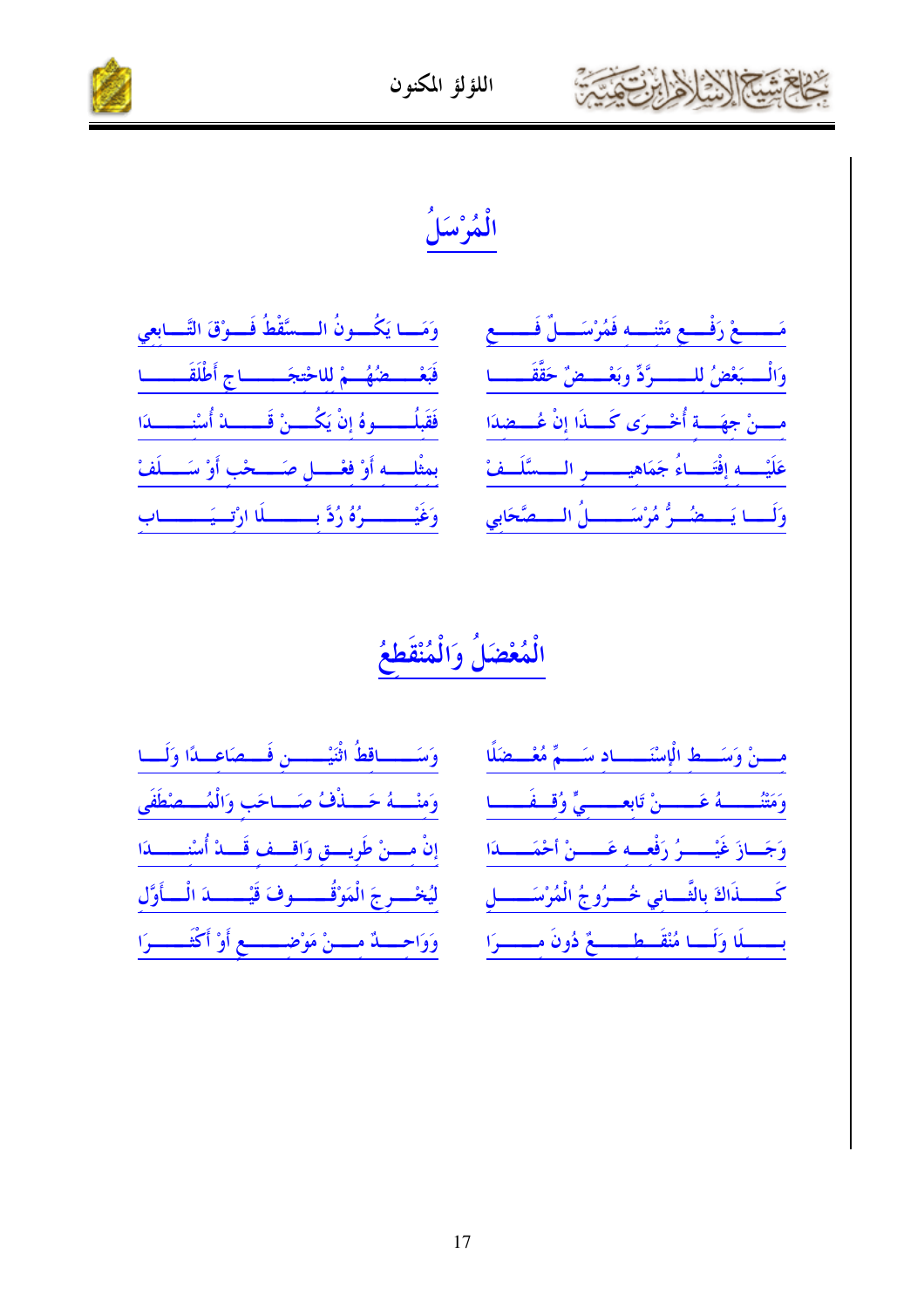



وَمَــا يَكُـــونُ الـــسَّقْطُ فَـــوْقَ التَّـــابعي فَبَعْسِــضُهُــمْ للاحْتجَـــــــاج أَطْلَقَــــــا فَقَبلُـــــــوهُ إنْ يَكُــــنْ قَــــــــدْ أُسْنـــــــدَا بمثْلَـــه أَوْ فَعْـــل صَــــحْب أَوْ سَـــلَفْ وَغَيْــــــرُهُ رُدَّ بــــــلَا ارْتــيَــــــاب

مَـــــعْ رَفْـــع مَتْنــــه فَمُرْسَــــلٌ فَــــــع وَالْمُبَعْضُ للمسْمَرَّدِّ وبَعْمَصْ حَقَّقَصِمَا مسنْ جهَسة أُخْسرَى كَسلَاا إنْ عُسطلاًا عَلَيْــــهِ إِفْتَـــاءُ جَمَاهِيــــــــــر الـــــسَّلَــفْ وَلَــا يَـــضُــوُّ مُرْسَــــــلُ الـــصَّحَابي

### الْمُعْضَلُ وَالْمُنْقَع

| وَسَـــاقطُ اثْنَيْـــــن فَـــصَاعــدًا وَلَـــا    | مسنْ وَسَسط الْإِسْنَـــاد سَــمٌّ مُعْــضَلًا                     |
|------------------------------------------------------|--------------------------------------------------------------------|
| وَمنْــهُ حَــذْفُ صَــاحَب وَالْمُــصْطَفَى         |                                                                    |
| إنْ مسنْ طَرِيسق وَاقسف قَسدْ أُسْتِسْسدَا           | وَجَسَازَ غَيْسِسِرُ رَفْعِسَهِ عَسِسْنُ أَحْمَسِسَدَا             |
| ليُخْسرجَ الْمَوْقُـــــوفَ قَيْـــــدَ الْـــأَوَّل | كَــــــــــذَاكَ بِالتَّـــــانِي خُــــرُوجُ الْمُرْسَــــــــلِ |
| وَوَاحِسَنْهُ مِسْنْ مَوْضِسْسِعِ أَوْ أَكْتَسْسَرَا | بـــــــلَا وَلَـــا مُنْقَـــطـــــــعٌ دُونَ مــــــــرَا        |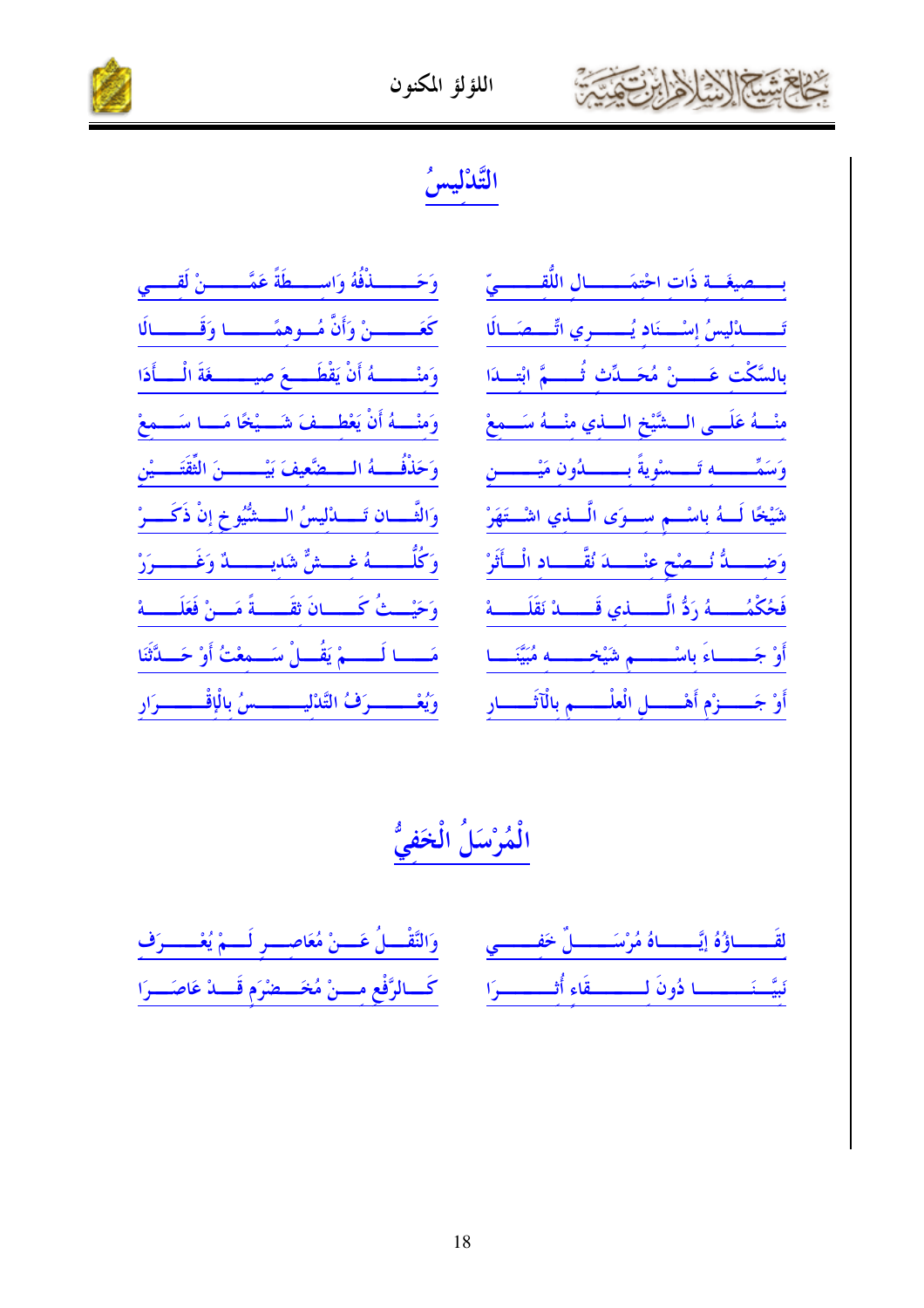

#### اللؤلؤ المكنون



### التَّلْليسُ

| وَحَـــــــــذْفُهُ وَاســـــطَةً عَمَّـــــــــنْ لَقــــــي    |
|------------------------------------------------------------------|
| كَعَـــــــنْ وَأَنَّ مُــوهمَــــــا وَقَــــــالَا             |
| وَمنْـــــــهُ أَنْ يَقْطَــــعَ صيــــــــغَةَ الْــــأَدَا     |
| وَمنْــــهُ أَنْ يَعْطَـــفَ شَـــيْخًا مَـــا سَـــمعْ          |
| وَحَذْفُــــهُ الـــــضَّعِيفَ بَيْـــــــــنَ الثَّقَتَـــــيْن |
| وَالثَّـــان تَـــــدْليسُ الـــــشُّيُوخ إنْ ذَكَــــرْ         |
| وَكُلُّـــــــهُ غـــــشٌّ شَديــــــــدٌ وَغَــــــــوَرْ       |
| وَحَيْــثُ كَـــــانَ ثقَـــــةً مَـــنْ فَعَلَــــــهْ          |
| مَـــا لَـــــمْ يَقُـــلْ سَـــمِعْتُ أَوْ حَـــدَّثَنَا        |
| وَيُعْــــــــرَفُ التَّدْلِيـــــــــسُ بِالْإِقْــــــــرَارِ  |

ــصيغَـــة ذَات احْتمَـــــــال اللَّقــــــــىّ تَـــدُّليسُ إسْــذَاد يُـــدري اتِّــمَـالَا بالسَّكْت عَـــــنْ مُحَـــدِّث ثُـــــمَّ ابْتـــدَا منْــهُ عَلَــى الــشَيْخ الـــذي منْــهُ سَــمعْ شَيْخًا لَـــهُ باسْــــم ســــوَى الَّــــذي اشْـــتَهَرْ وَضـــــدُّ نُـــصْح عنْـــــدَ نُقّــــاد الْــأَثَرْ فَحُكْمُــــــهُ رَدُّ الَّـــــــــذي قَــــــدْ نَقَلَــــــهْ أَوْ جَـــــاءَ باسْــــــم شَيْخـــــه مُبَيَّنَـــا أَوْ جَـــــزْم أَهْـــــل الْعلْـــــم بالْآثَـــــار

### الْمُرْسَلُ الْخَفيُّ

| لقَـــــاؤُهُ إِنَّـــــاهُ مُرْسَـــــــلٌ خَفِــــــي مَـــ وَالنَّقْـــلُ عَـــنْ مُعَاصِــــرٍ لَـــمْ يُعْــــــرَفِ    |  |
|------------------------------------------------------------------------------------------------------------------------------|--|
| نَبِيَّــنَـــــــــا دُونَ لِــــــــــقَاءِ أُثـــــــــرَا مَــــَـــالرَّفْعِ مِـــنْ مُخَـــعِبْرَم قَـــدْ عَاصَـــرَا |  |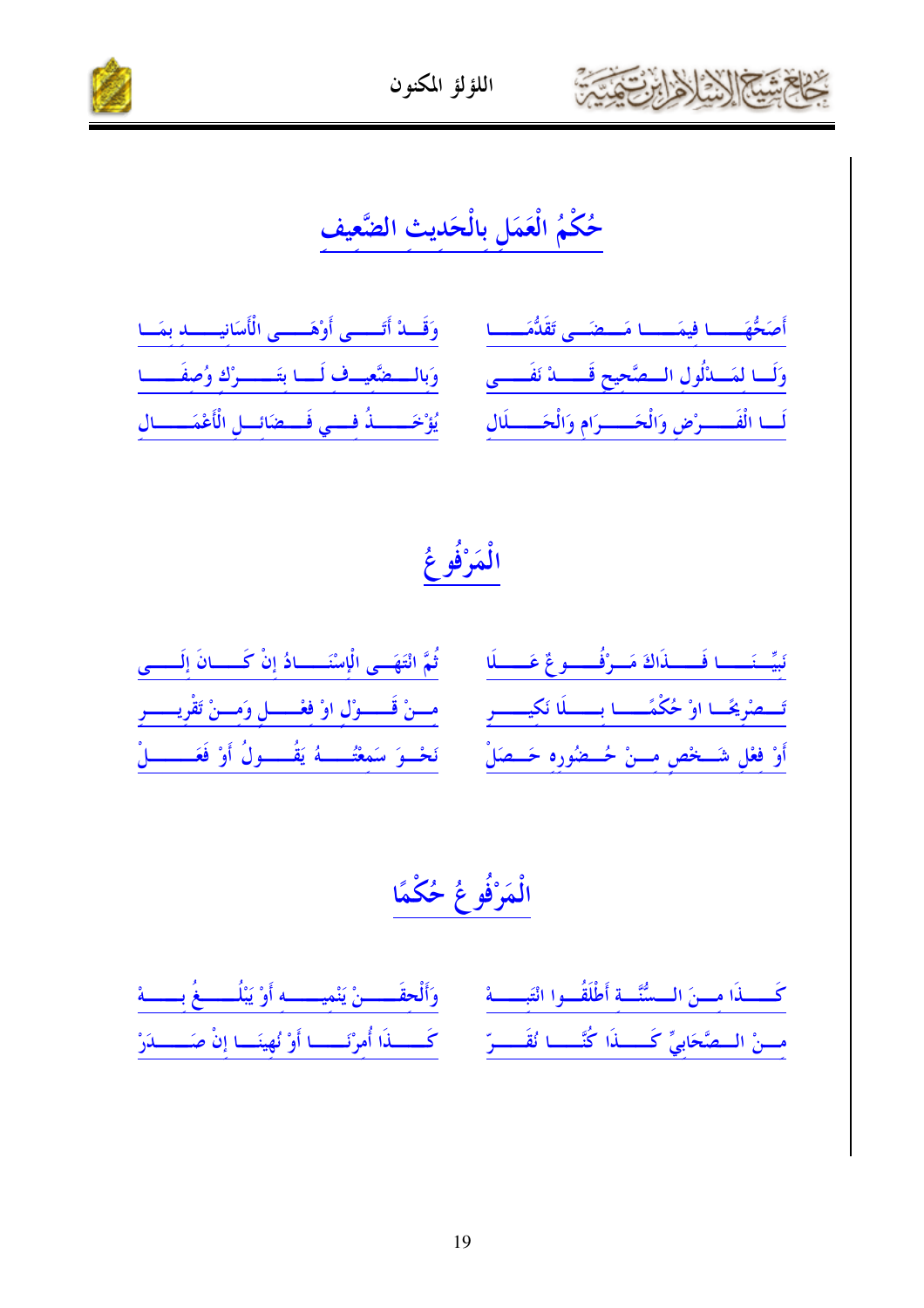

اللؤلؤ المكنون



### حُكْمُ الْعَمَلِ بِالْحَدِيثِ الضَّعِيفِ

| وَقَــاهْ أَتَــــى أَوْهَــــى الْأَسَانِيــــــا بمَــا | أَصَحُّهَــــا فيمَــــا مَــضَــى تَقَدُّمَــــا                                                                 |
|-----------------------------------------------------------|-------------------------------------------------------------------------------------------------------------------|
|                                                           | وَلَسا لِمَسْدُلُولِ السَّمَّحِيحِ قَسْسَدُ نَفَسَّسَى مَسْ وَبِالسَّمَتَعِيسِكَ لَسَبَا بِتَسْسَرُكِ وُصِفَسْسَا |
|                                                           | لَسا الْفَسِسِرْضِ وَالْحَسِسِرَامِ وَالْحَسِسِلَالِ ﴾ لِمُؤْخَسِسِلْهُ فِسِي فَسطَائِسِلِ الْأَعْمَسِسَال        |

### الْمَرْفُوعُ

| نَسِّنَـــا فَــــذَاكَ مَــرْفُـــوعٌ عَــــلَهِ مَــ قُمَّ انْتَهَــى الْإِسْنَـــادُ إِنْ كَــــانَ إِلَــــى        |
|-------------------------------------------------------------------------------------------------------------------------|
| تَسْمِنْرِيحًا اوْ حُكْمًــــا بِـــــلَا نَكِيـــــرِ مَـــنْ قَــــوْلِ اوْ فِعْــــلٍ وَمِــنْ تَقْرِيـــــرِ        |
| أَوْ فِعْلِ شَــخصِ مِـــنْ حُـــضُورِهِ حَـــصَلْ        نَحْـــوَ سَمِعْتُــــــهُ يَقُــــــولُ أَوْ فَعَـــــــــلْ |

# الْمَرْفُوعُ حُكْمًا

كَسِّدَا مِسنَ السِّسُّنَّةِ أَطْلَقُوا انْتَبِسِّهْ مِنْ وَأَلْحِقَسِسْنُ يَنْمِيسِسِهِ أَوْ يَبْلُسِيغُ بِسَسَة مسنْ السطَّحَابِيِّ كَسسلاَا كُنَّسسا نُقَسسِّرِ ۚ كَسسلاَا أُمرْنَسسا أَوْ نُهينَسا إنْ صَسسلاَرْ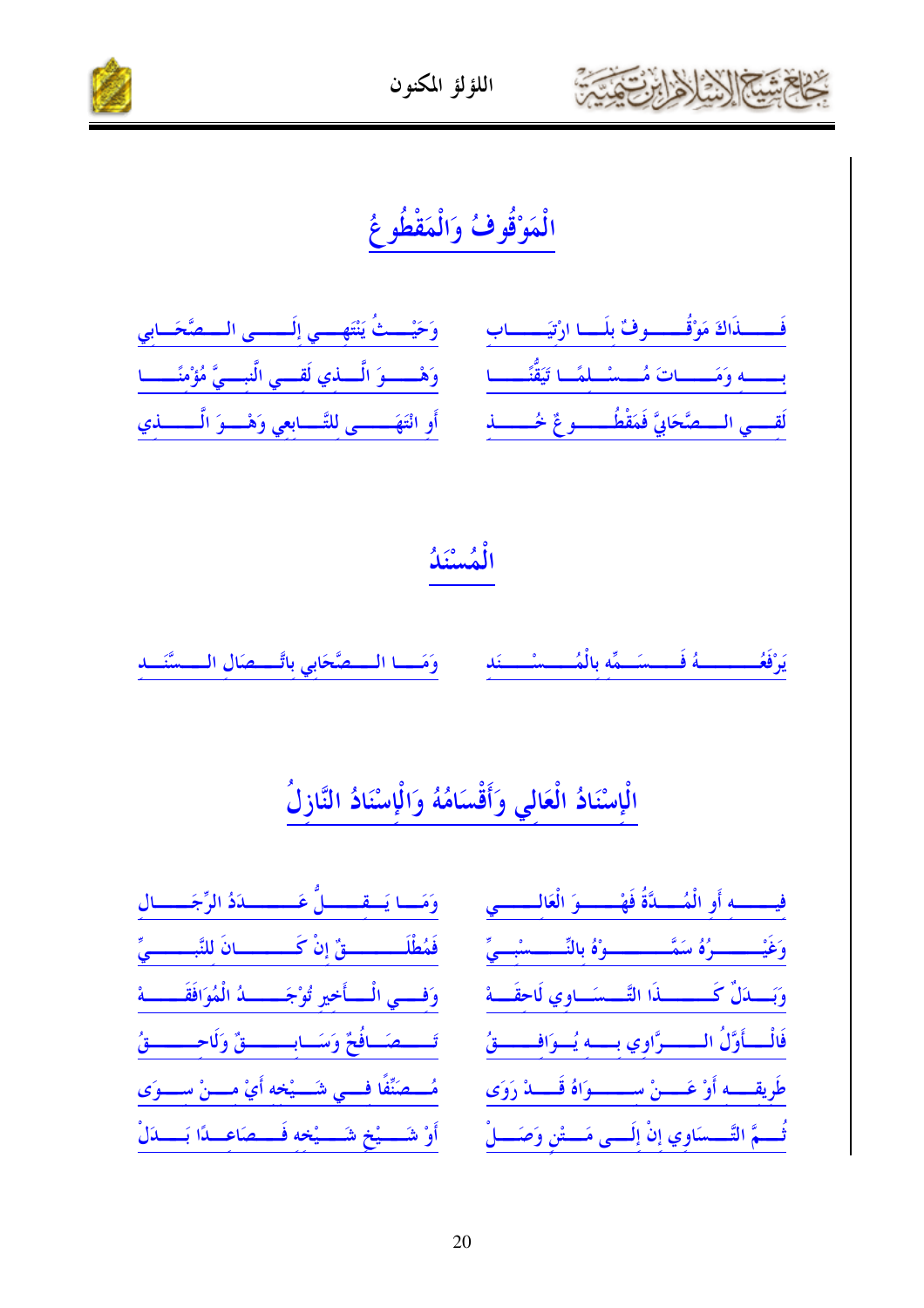



## الْمَوْقُوفُ وَالْمَقْطُوعُ



#### الْمُسْنَكُ

وَمَـــا الــــصَّحَابي باتَّــــصَال الــــسَّنَـــد يَرْفَعُـــــــــهُ فَــــسَــمِّه بِالْمُـــــسْـــنَد

### الْإِسْنَادُ الْعَالي وَأَقْسَامُهُ وَالْإِسْنَادُ النَّازِلُ

|               | لدَدُ الرِّجَــــال           | وَمَـــا يَــقـــــــلُّ عَـ                           |
|---------------|-------------------------------|--------------------------------------------------------|
|               | .<br>سانَ للنَّبـــــــــيِّ  | فَمُطْلَــــــــــقٌ إنْ كَــ                          |
| $\frac{1}{4}$ | ـــــــــــدُ الْمُوَافَقَـــ | وَفَــــي الْــــأَخير تُوْجَـ                         |
|               |                               | تَـــمَـافُحٌ وَسَـابــــقٌ وَلَاحِــــقُ              |
|               |                               | مُستَمَنَّفًا فسي شَستْخه أَيْ مستْ سِستوَى            |
|               |                               | أَوْ شَــــيْخ شَــــيْخه فَــــصَاعِـــدًا بَــــدَلْ |

| فيــــــــه أو الْمُـــــدَّةُ فَهْـــــــوَ الْعَالــــــــي   |  |
|-----------------------------------------------------------------|--|
| وَغَيْـــــــــرُهُ سَمَّـــــــــــوْهُ بالنِّـــــــسْبـــيِّ |  |
|                                                                 |  |
| فَالْـــأَوَّلُ الــــــرَّاوِي بـــه يُــوَافــــــقُ          |  |
| طَريقـــــه أَوْ عَـــــنْ ســــــــوَاهُ قَـــــدْ رَوَى       |  |
| .<br>تُـــمَّ التَّـــسَاوي إنْ إِلَـــى مَـــتْنِ وَصَــــلْ   |  |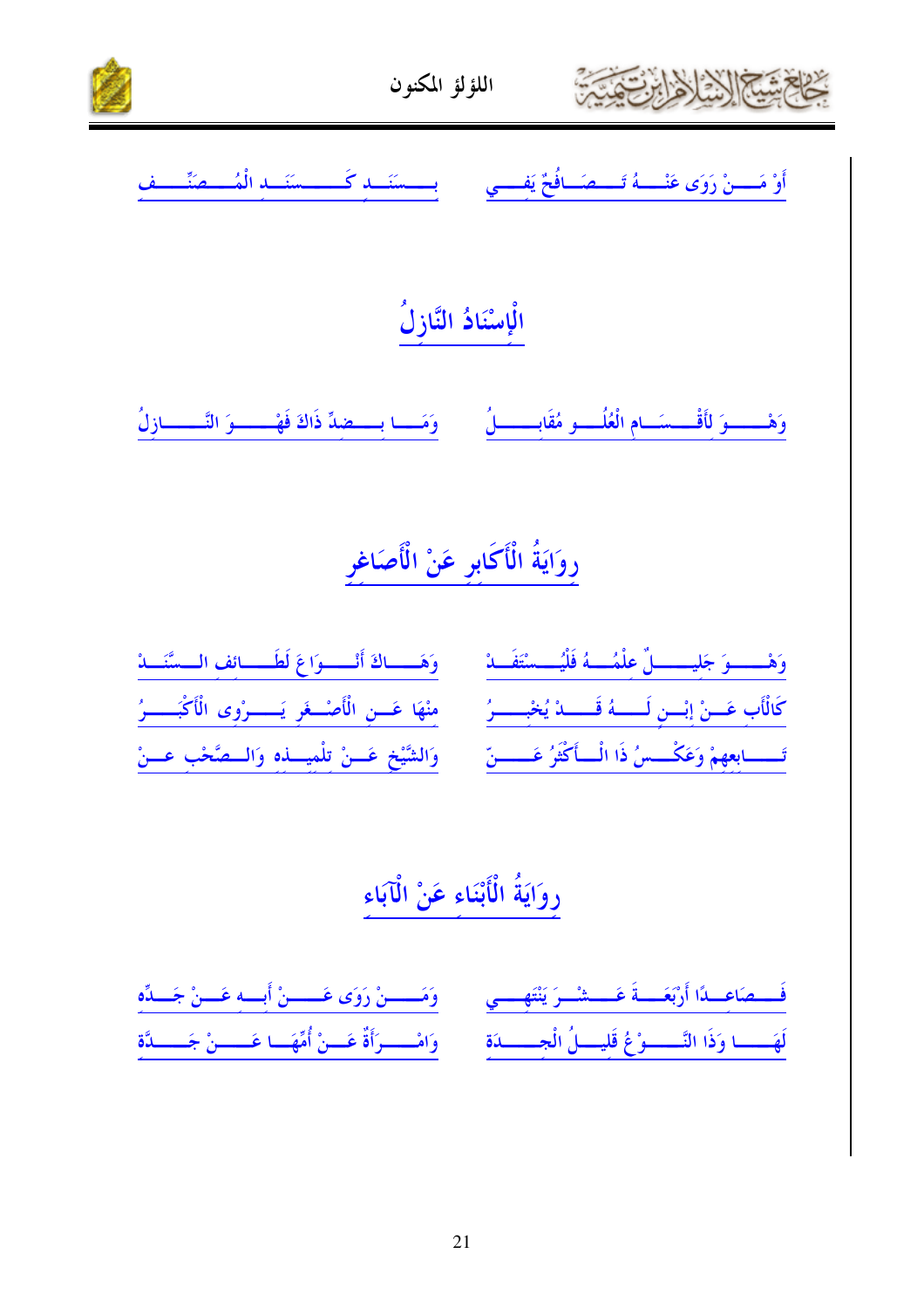



أَوْ مَـــنْ رَوَى عَنْــــهُ تَــــصَــافُحٌ يَفـــي مَــَــــسَنَـــد كَــــــسنَــد الْمُــــصَنِّــــف الْإِسْنَادُ النَّازِلُ وَهْـــــــوَ لأَقْــــسَـــام الْعُلُـــــو مُقَابــــــــلُ وَمَـــــا بـــــضدِّ ذَاكَ فَهْــــــــوَ التَّـــــــــازلُ

## روَايَةُ الْأَكَابِرِ عَنْ الْأَصَاغِرِ

| وَهَـــاكَ أَنْـــوَاعَ لَطَـــائِفِ الــسَّنَـــاهُ       | وَهْـــوَ جَليـــــلٌّ عِلْمُـــهُ فَلْيُـــسْتَفَــدْ   |
|------------------------------------------------------------|----------------------------------------------------------|
| مِنْهَا عَسِنِ الْأَصْسِعَرِ يَـــــوْوِي الْأَكْبَـــــوُ | كَالْأَبِ عَسَنْ إِنْسِنِ لَــــهُ قَــــدْ يُخْبِــــرُ |
| وَالشَّيْخِ عَــنْ تِلْمِيـــذِهِ وَالـــصَّحْبِ عــنْ     | تَــــابِعهمْ وَعَكْـــسُ ذَا الْــأَكْثَرُ عَـــــنّ    |

# روَايَةُ الْأَبْنَاء عَنْ الْآبَاء

فَــــصَاعــدًا أَرْبَعَـــــةَ عَــــــــــْـــرَ يَنْتَهــــــي وَمَـــــــنْ رَوَى عَـــــــنْ أبــــه عَــــنْ جَــــدِّه لَهَــــــا وَذَا النَّــــــوْغُ قَليــــلُ الْجـــــــدَة ۚ وَامْــــــرَأَةٌ عَـــنْ أُمِّهَـــا عَــــــنْ جَــــــدَّة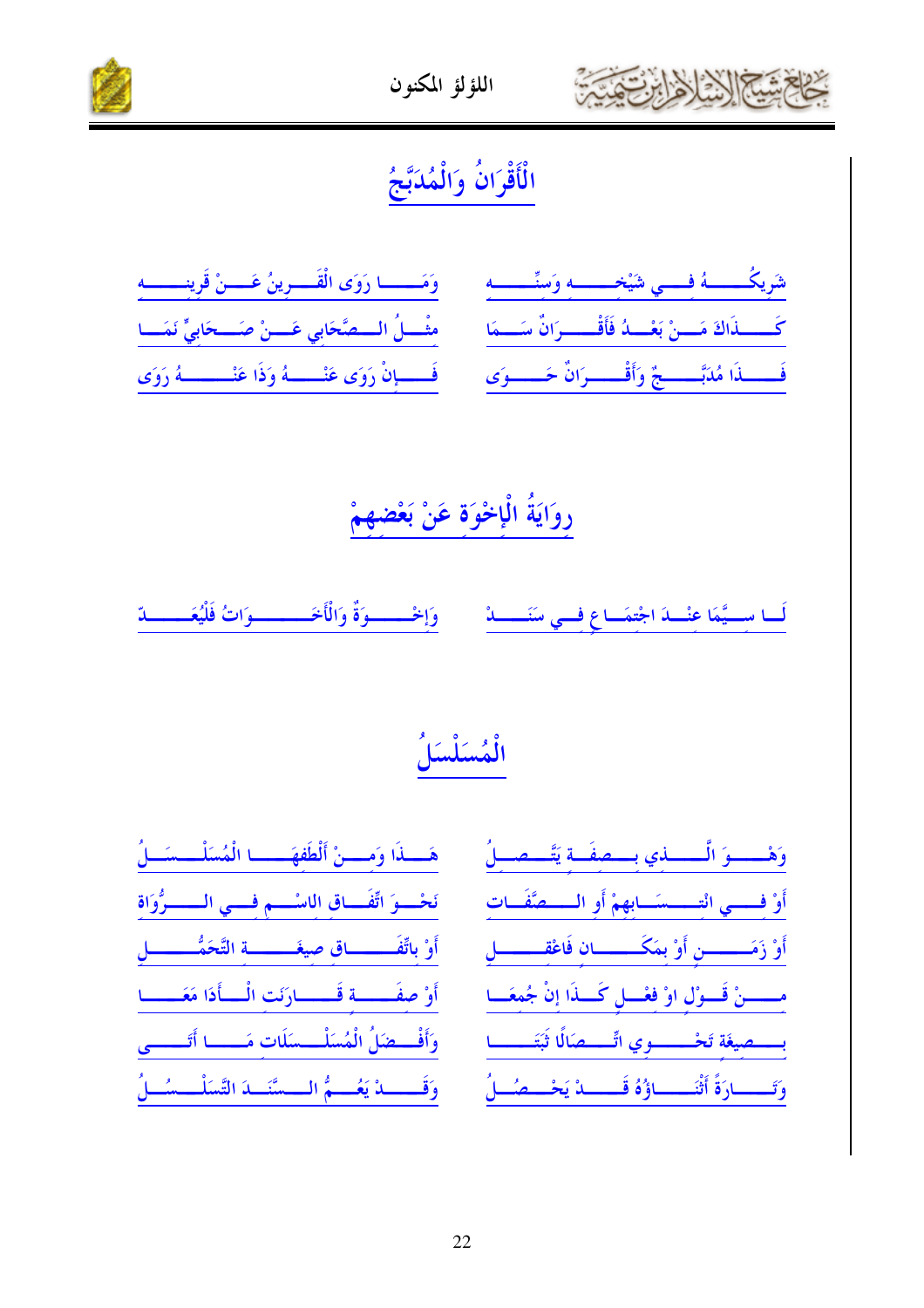



# الْأَقْرَانُ وَالْمُدَبَّجُ

| كَـــــذَاكَ مَـــنْ بَعْـــدُ فَأَقْـــــرَانٌ سَـــمَا مَـــْمَــلُ الـــصَّحَابي عَـــنْ صَـــحَابيٍّ نَمَـــا     |  |
|-----------------------------------------------------------------------------------------------------------------------|--|
| فَـــــــــــذَا مُدَبَّـــــــــجٌ وَأَقْـــــــرَانٌ حَــــــــوَى ۚ ___ فَــــــــــهُ رَوَى عَنْـــــــــهُ رَوَى |  |

# رِوَايَةُ الْإِخْوَةِ عَنْ بَعْضِهِمْ

وَإِخْــــوَةٌ وَالْأَخَــــــوَاتُ فَلْيُعَــ لَــا ســـيَّمَا عنْــــادَ اجْتمَـــاع فـــي سَنَـــــــادْ یدّ

# الْمُسَلْسَلُ

|  |  | هَــذَا وَمـــنْ أَلْطَفهَــــا الْمُسَلْــسَــلُ                   |
|--|--|---------------------------------------------------------------------|
|  |  | نَحْسوَ اتِّفَساقِ اللَّاسْسِمِ فِسي المسسوُوَاةِ                   |
|  |  | أَوْ باتِّفَـــــــــاق صيغَـــــــــة التَّحَمُّــــــــــلِ       |
|  |  | أَوْ صفَــــة قَـــــارَنَت الْــــأَذَا مَعَــــــا                |
|  |  | وَأَفْــضَلُ الْمُسَلْــسَلَات مَـــــا أَتَـــــى                  |
|  |  | وَقَــــــــــدْ يَعُـــــمُّ الــــسَّنَـــدَ التَّسَلْــــسُـــلُ |

| وَهْـــوَ الَّـــــذي بـــصفَــة يَتَّـــصـــلُ            |  |  |
|------------------------------------------------------------|--|--|
| أَوْ فِسْسِي انْتِسْسَسَابِهِمْ أَوِ الْسَسْمِتَفَسَاتِ    |  |  |
| أَوْ زَمَــــــن أَوْ بِمَكَــــــان فَاعْقــــــل         |  |  |
| مِــــــنْ قَـــوْلِ اوْ فِعْـــلِ كَـــذَا إِنْ جُمعَـــا |  |  |
| بسسطيغَة تَحْسسسوي اتِّسسطالًا ثَبَتَــــا                 |  |  |
| وَتَــــارَةً أَثْنَــــاؤُهُ قَـــــدْ يَحْـــصُــلُ      |  |  |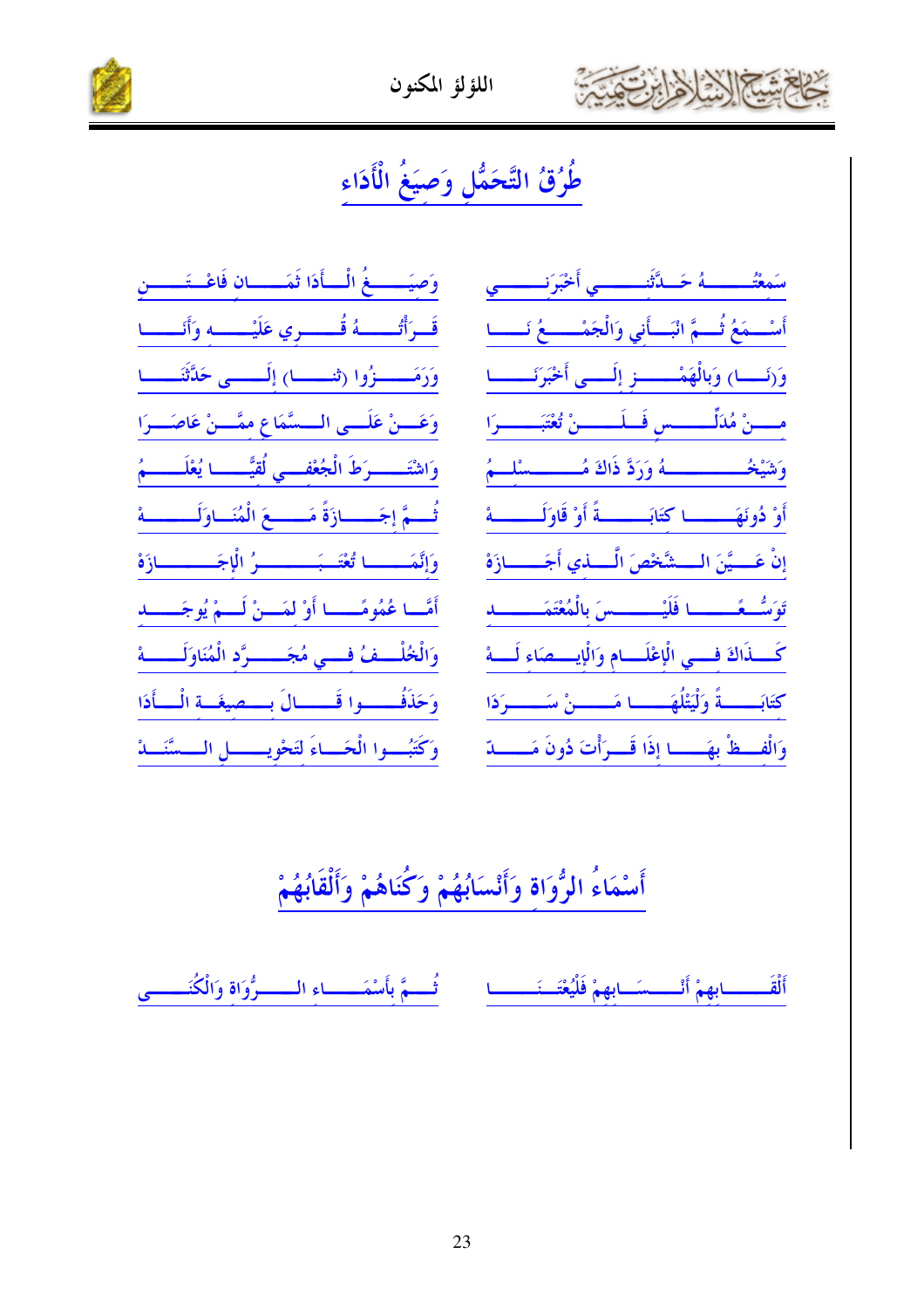





## طُرُقُ التَّحَمُّل وَصيَغُ الْأَدَاء

| وَصِيَــــــغُ الْــــأَدَا ثَمَـــــــانِ فَاعْــتَــــــنِ    |
|-----------------------------------------------------------------|
| قَــرَأْتُــــــهُ قُــــــري عَلَيْــــــه وَأَنَـــــا        |
| وَرَمَـــــزُوا (تنـــــا) إِلَـــــى حَدَّثَنَـــــا           |
| وَعَسِنْ عَلَــى الــسَّمَاعِ مِمَّـــنْ عَاصَـــرَا            |
| وَاشْتَـــــــرَطَ الْجُعْفــــي لُقيَّـــــــا يُعْلَـــــــمُ |
| ثُسِمَّ إجَسِسازَةً مَسْسِعَ الْمُنَسَاوَلَــــــة              |
| وَإِنَّمَـــــا تُعْتَــبَــــــــوُ الْإِجَــــــــازَهْ       |
| أَمَّــا عُمُومَّـــــا أَوْ لمَـــنْ لَـــمْ يُوجَــــــدِ     |
| وَالْخُلْــفُ فِــي مُجَــــرَّدِ الْمُنَاوَلَـــــهْ           |
| وَحَذَفُـــــوا قَـــــالَ بـــصيغَــة الْـــأَدَا              |
| وَكَتُبِسُوا الْحَسَاءَ لِتَحْوِيسِسَالِ السَّسَّنَسَةُ         |

سَمِعْتُـــــــــهُ حَــدَّثَنـــــــــي أَخْبَرَنــــــــي أَسْسِمَعُ ثُسِمٌّ انْبَسأَنِي وَالْجَمْسِيعُ نَـــا وَ(نَــا) وَبَالْهَمْــــز إلَــى أَخْبَرَنَــــا مسسنْ مُدَلِّــــــس فَــلَــــــنْ تُعْتَبَــــــرَا وَشَيْخُــــــــــــــهُ وَرَدَّ ذَاكَ مُــــــــــسْلـــمُ أَوْ دُونَهَـــــــا كتَابَـــــــةً أَوْ قَاوَلَـــــــة إِنْ عَـــيَّنَ الـــشَّخْصَ الَّــــذي أَجَــــــازَهْ تَوَسَّــعًــــــــا فَلَيْــــــــسَ بِالْمُعْتَمَــــــــــد كَــذَاكَ فـــى الْإعْلَـــام وَالْإيــــصَاء لَــــهْ كتَابَـــــةً وَلْيَتْلُهَـــــا مَــــــنْ سَـــــرَدَا وَالْفَسْظُ بِهَسْسًا إِذَا قَسْرَأْتَ ذُونَ مَسْسَدّ

### أَسْمَاءُ الرُّوَاة وَأَنْسَابُهُمْ وَكُنَاهُمْ وَأَلْقَابُهُمْ

أَلْقَــــــــابهمْ أَنْـــــسَـــابهمْ فَلْيُعْتَـــنَـــــــــا ثُــــمَّ بأَسْمَــــــــاء الــــــرُوَاة وَالْكُنَـــــــى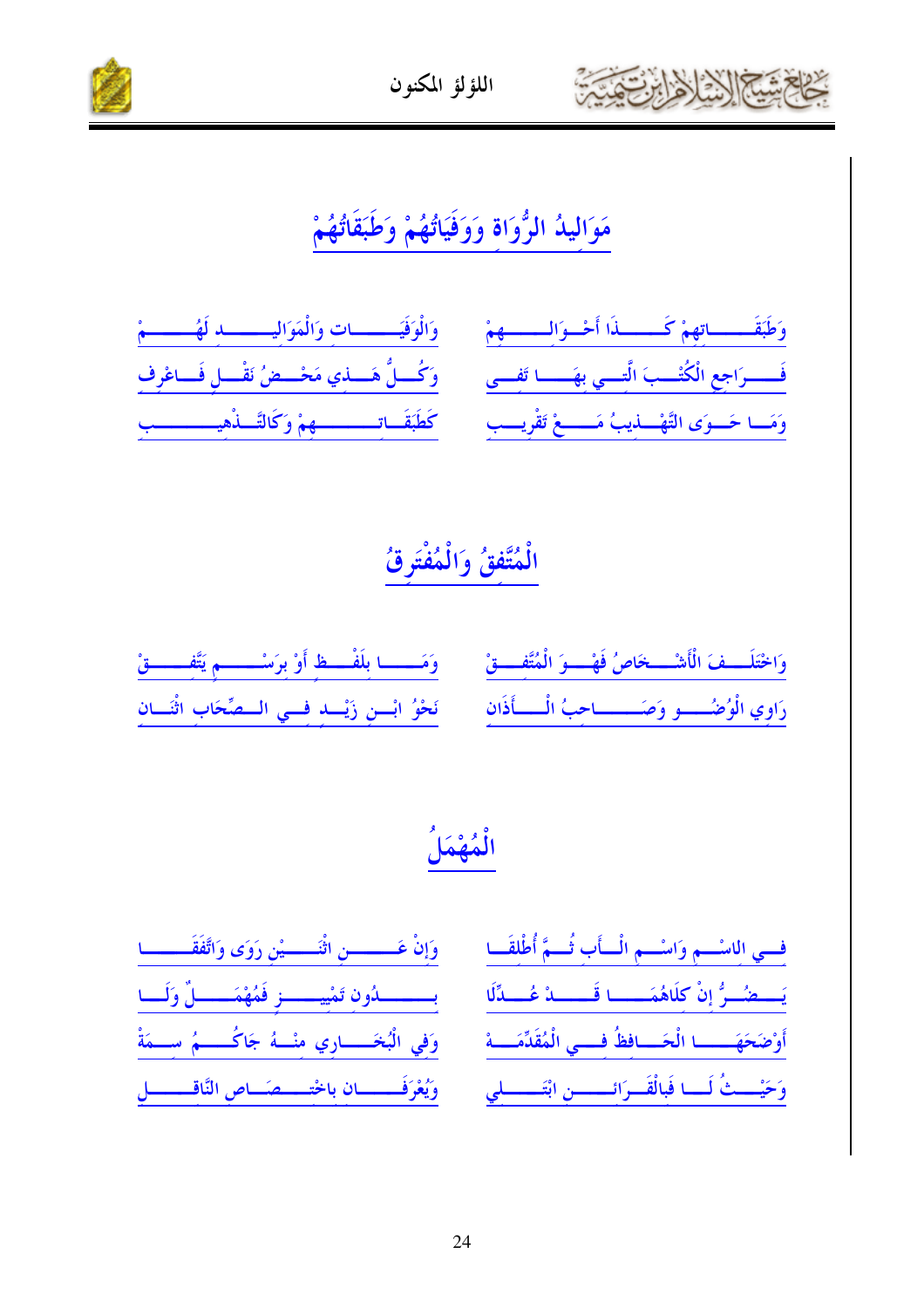

اللؤلؤ المكنون



### مَوَالِيدُ الرُّوَاةِ وَوَفَيَاتُهُمْ وَطَبَقَاتُهُمْ

| وَطَبَقَهِ اتِهِمْ كَسِسْدَا أَحْسِوَالِسِسْمِهِمْ ﴾ وَالْوَفَيَسْسَسَاتٍ وَالْمَوَالِسِسْسَلِدِ لَهُ سَسَمْ |  |
|--------------------------------------------------------------------------------------------------------------|--|
| فَــــرَاجِعِ الْكُتْــبَ الَّتِــي بِهَــــا تَفــى مَــــوْلَى لَمَـــذِي مَحْـــضُ نَقْـــلِ فَـــاعْرِف  |  |
| وَمَسا حَسوَى التَّهْسليبُ مَسسعْ تَقْرِيسبِ مَكْطَبَقَاتِسسسسهمْ وَكَالتَّسلُهِيسسسسبِ                      |  |

### الْمُتَّفقُ وَالْمُفْتَرقُ

| وَاخْتَلَــفَ الْأَشْــخَاصُ فَهْــوَ الْمُتَّفِــقْ       وَمَــــا بِلَفْــظِ أَوْ بِرَسْــــــمِ يَتَّفِــــقْ |  |
|-------------------------------------------------------------------------------------------------------------------|--|
| رَاوِي الْوُضُسِيو وَصَسِيسَاحِبُ الْسِيأَذَانِ ۚ فَحْوُ ابْسِنِ زَيْسَةٍ فِسِي السَّصِّحَابِ اثْنَسَانِ          |  |

### الْمُهْمَلُ

بسمسماون تشيمسمز فَمُهْمَمسِيلٌ وَلَسا وَفِي الْبُخَـــــارِي مِنْـــهُ جَاكُــــــمُ سِـــمَةْ وَيُعْرَفَــــــان باخْتــــصَـــاص النَّاقـــــــــل

| فسي اللسْسم وَاسْسمِ الْسَأَبِ ثُسَمَّ أُطْلِقَــا       |
|----------------------------------------------------------|
| يَستَصُرُّ إِنْ كَلَاهُمَسْسَا قَسَسَدْ عُسَدَّلَا       |
| أَوْضَحَهَـــــا الْحَـــافِظُ فِـــي الْمُقَدِّمَــــهْ |
| وَحَيْسَتْ لَسَا فَبِالْقَسِرَائِسِسِنِ ابْتَسْسَلِي     |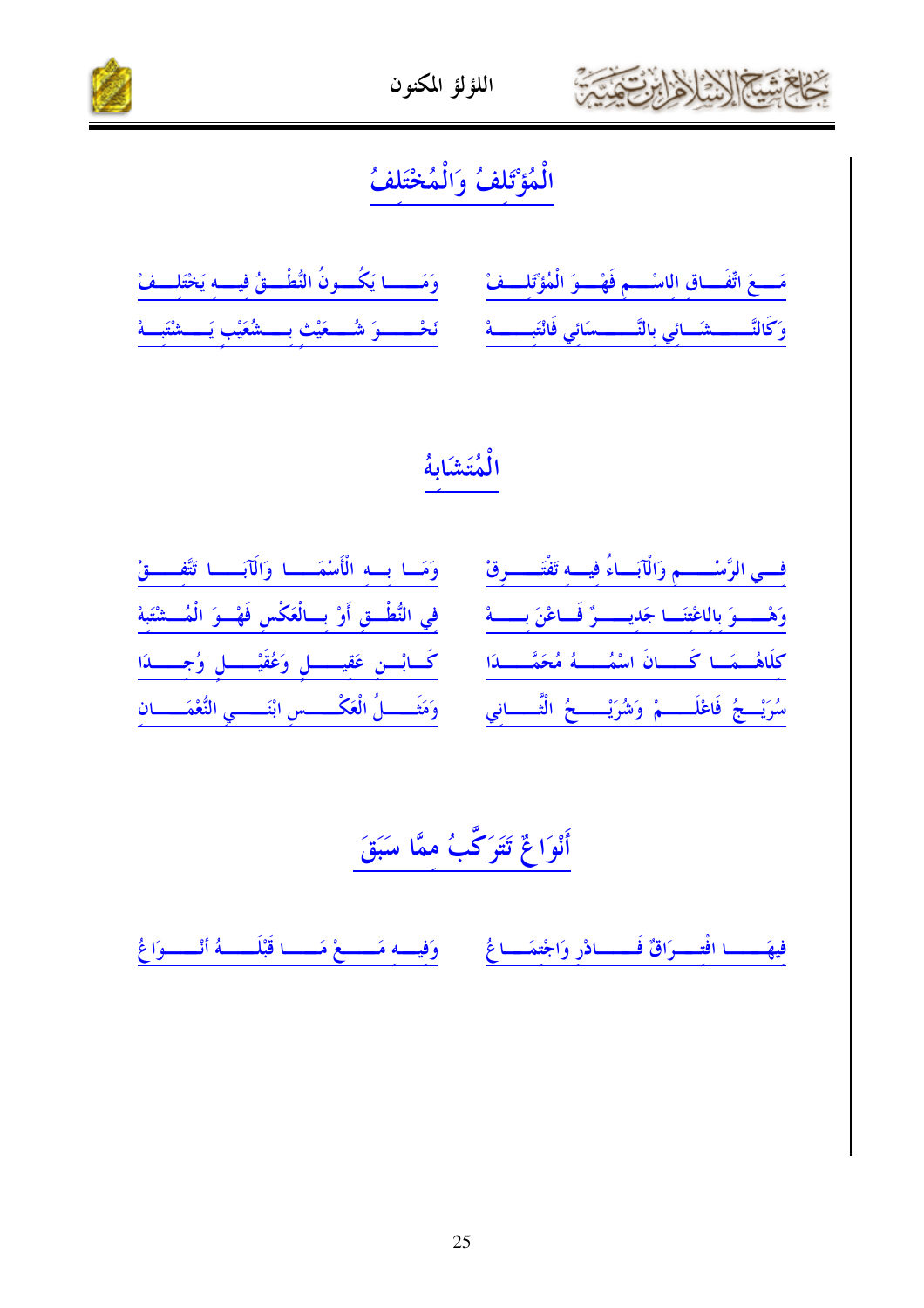



٢

| مَسعَ اتِّفَساقِ اللَّهُ وَفَهْسُوَ الْمُؤْتَلِسِفْ مِنْ وَمَسْسَا يَكُسُونُ النُّطْسِقُ فِيسِهِ يَخْتَلِسِفْ                      |  |
|------------------------------------------------------------------------------------------------------------------------------------|--|
| وَكَالنَّــــــشَــائِي بِالنَّــــــسَائِي فَانْتَبـــــــهْ $\frac{3}{2}$ فَحْـــــوَ شُـــعَيْتِ بِــــشُعَيْبِ يَـــشْتَبَــهْ |  |

#### الْمُتَشَابِهُ

| وَمَــا بِــه الْأَسْمَـــــا وَالْآبَــــا تَتَّفــــقْ         | فسي الرَّسْـــــمِ وَالْآبَـاءُ فِيــهِ تَفْتَـــــرِقْ |
|------------------------------------------------------------------|---------------------------------------------------------|
| في النُّطْــق أَوْ بـــالْعَكْس فَهْــوَ الْمُـــشْتَبة          | وَهْــوَ بِالْاعْتِنَــا جَدِيـــوٌ فَـاعْنَ بِـــهْ    |
| كَسابْسِ عَقِيسِسلِ وَعُقَيْسِسلِ وُجِسْسَدَا                    | كلَاهُــمَــا كَــــانَ اسْمُـــهُ مُحَمَّـــــدَا      |
| وَمَثَــــــلُ الْعَكْــــــسِ ابْنَـــــــي النُّعْمَـــــــانِ | سُرَيْسِجُ فَاعْلَــــمْ وَشُرَيْــــخُ الْثَـــــانِي  |

أَنْوَاعٌ تَتَوَكَّبُ مِمَّا سَبَقَ

فِيهَـــا افْتِــرَاقٌ فَــــادْرِ وَاجْتِمَــاعُ مَـــوَفِيــه مَـــوْمَــــا قَبْلَــــهُ أنْـــوَاعُ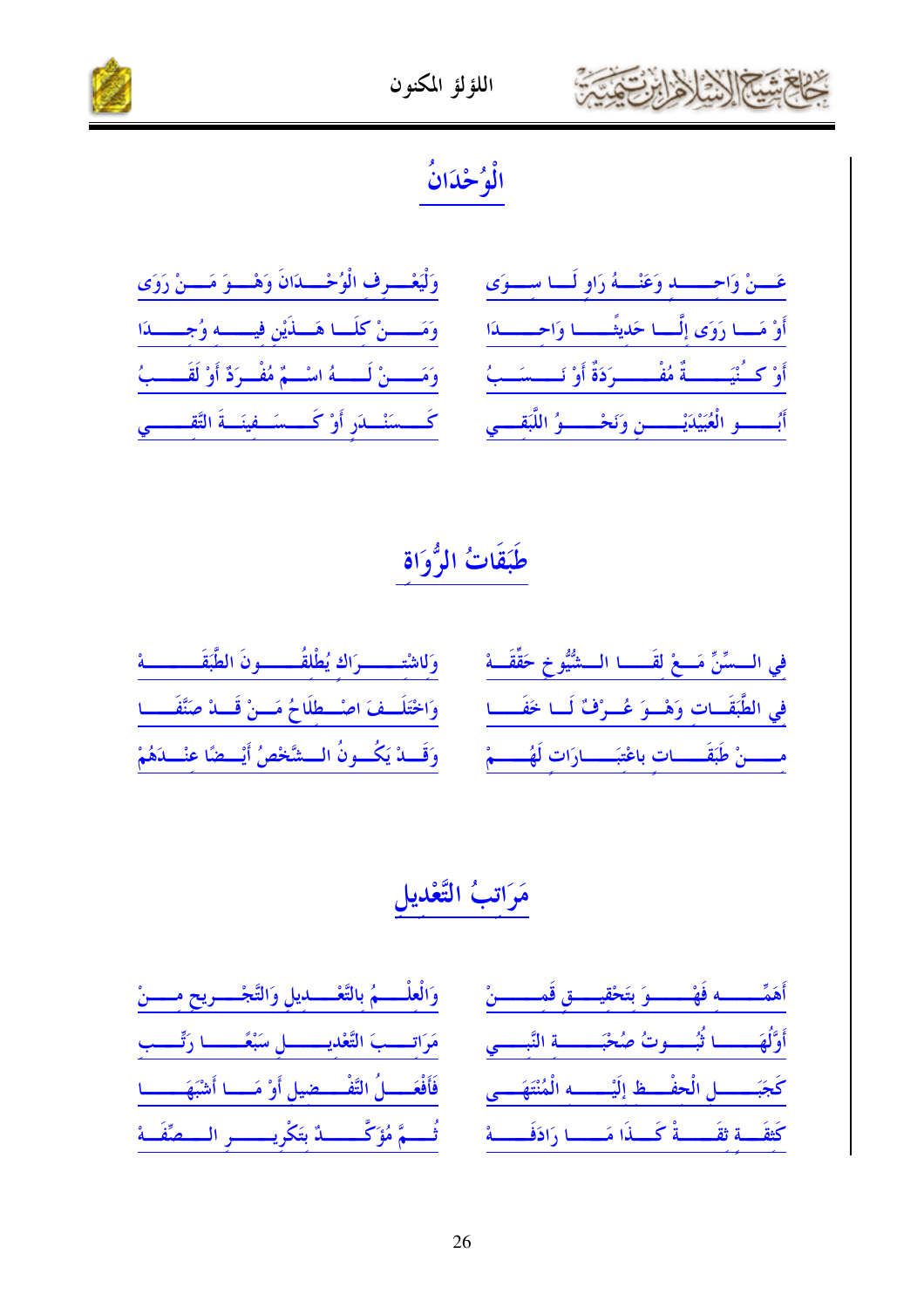

#### اللؤلؤ المكنون



# الْوُحْدَانُ

| وَلْيَعْسِرِفِ الْوُحْسِدَانَ وَهْسُوَ مَسْنْ رَوَى        |  |
|------------------------------------------------------------|--|
| وَمَــِـــنْ كِلَــا هَـــذَيْنِ فِيــــه وُجِــــدَا      |  |
| وَمَـــــنْ لَـــــهُ اسْـــمٌ مُفْــرَدٌ أَوْ لَقَـــــبُ |  |
| كَـــسَنْـــلَرِ أَوْ كَـــسَــفينَـــةَ التَّقـــــــي    |  |

| غَسِنْ وَاحِسِسْلِهِ وَعَنْسُهُ رَاوِ لَسَنَا سِسْوَى                |  |  |  |
|----------------------------------------------------------------------|--|--|--|
| أَوْ مَسا رَوَى إِلَّسا حَدِيثَــــا وَاحِـــــدَا                   |  |  |  |
| أَوْ كَــُنْيَـــــــةٌ مُفْــــــرَدَةٌ أَوْ نَــــسَــبُ           |  |  |  |
| أبُـــــــــو الْعُبَيْدَيْـــــــــنِ وَنَحْـــــــوُ اللَّبَقــــي |  |  |  |

### طَبَقَاتُ الرُّوَاة

| وَللشَّسْسَرَاكَ يُطْلَقُسَسَـونَ الطَّبَقَـــــــــة     | فِي السسِّنِّ مَسعْ لِقَسسا السشُّيُوخِ حَقِّقَسهْ |
|-----------------------------------------------------------|----------------------------------------------------|
| وَاخْتَلَـفَ اصْــطلَاحُ مَــنْ قَــدْ صَنَّفَـــا        | في الطَّبَقَــات وَهْــوَ عُــرْفٌ لَــا خَفَــــ  |
| وَقَـــدْ يَكُـــونُ الـــشَّخْصُ أَيْـــضًا عنْـــدَهُمْ | مسسنْ طَبَقَــــات باعْتبَــــارَات لَهُـــــمْ    |

### مَرَاتبُ التَّعْديل

| وَالْعِلْــــمُ بِالتَّعْــــديلِ وَالتَّجْــــريحِ مــــنْ  | .<br>ئقيسسىق قَمِسسسىنْ       |
|--------------------------------------------------------------|-------------------------------|
| مَرَاتِــبَ التَّعْدِيــــــلِ سَبْعَــــا رَتِّـــب         | خبَــــة النَّبـــي           |
| فَأَفْعَــــلُ التَّفْــــضيل أَوْ مَــــا أَشْبَهَـــــــا  | .<br>يُـــــه الْمُنْتَهَـــى |
| ثُـــمَّ مُؤَكَّـــــــدٌ بتَكْريـــــــــر الــــصِّفَـــهْ | مَـــا رَادَفَــــهُ          |

أَهَمٌ ــــه فَهْ ے بتَخ أَوَّلُهَـ \_\_ أُبُـــوتُ صُ \_\_\_\_ل الْحفْ\_\_ظ إلَهْ كَتْقَـــة ثقَـــــةْ كَـــذَا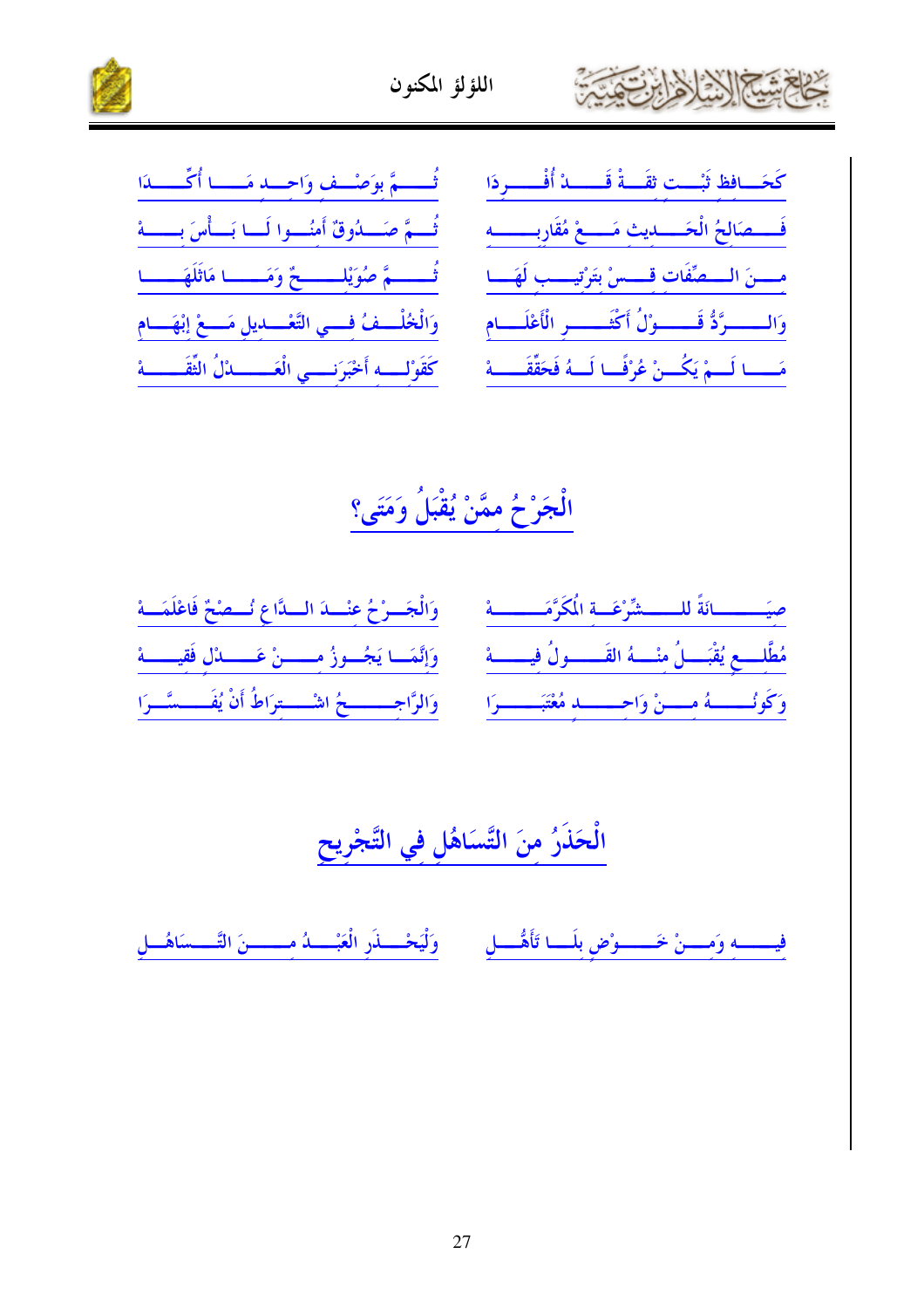



| تُــــمَّ بوَصْــف وَاحــد مَـــا أُكِّــــدَا            | كَحَسَافظ ثَبْست ثقَسةْ قَسسدْ أُفْسسردَا                    |
|-----------------------------------------------------------|--------------------------------------------------------------|
| تُسمَّ صَسلُوقٌ أَمنُسوا لَسا بَسأْسَ بِسسهْ              | فَسْمَالِحُ الْحَسْدِيثِ مَسْمٍّ مُقَارِبِسِسِهِ             |
| ثُــــــمَّ صُوَيْلِــــــــحٌ وَمَـــــا مَاثَلَهَـــــا | مسنَ السعنِّفَات قسسْ بتَرْتِيسب لَهَسا                      |
| وَالْخُلْــفُ فَــي التَّعْــديل مَــعْ إِبْهَــام        | وَالــــــرَّدُّ قَــــــوْلُ أَكْثَــــــر الْأَعْلَـــام   |
| كَقَوْلِـــه أَحْبَرَنـــي الْعَــــــالُ الثَّقَــــــهْ | مَــــا لَـــمْ يَكُـــنْ عُرْفَــا لَـــهُ فَحَقّقَــــــهْ |

الْجَرْحُ مِمَّنْ يُقْبَلُ وَمَتَى؟

| صِيَسِسِسَانَةً للسَسْشِّرْعَـةِ الْمَكَرَّمَـــــة مَسَـــة الْجَـــوْحُ عِنْـــة الْـــدَّاعِ نُـــصْحْ فَاعْلَمَـــة                      |
|----------------------------------------------------------------------------------------------------------------------------------------------|
| مُطَّلِّــع يُقْبَـــلُ مِنْــــهُ القَــــــولُ فيـــــــهْ $\frac{\epsilon}{2}$ وَإِنَّمَـــا يَجُــوزُ مِــــــنْ عَـــــدُل فَقيــــــهْ |
| وَكُونُـــــهُ مِــــنْ وَاحِــــــــدِ مُعْتَبَــــــــرَا مَـــ وَالرَّاحِــــــــحُ اشْــــتِرَاطُ أَنْ يُفَــــسَّــرَا                  |

الْحَذَرُ مِنَ التَّسَاهُلِ فِي التَّجْرِيحِ

فيـــــه وَمـــنْ خَـــــوْضِ بلَـــا تَأَهُّـــلِ ۚ وَلْيَحْـــذَرِ الْعَبْـــدُ مــــــنَ التَّـــسَاهُـــلِ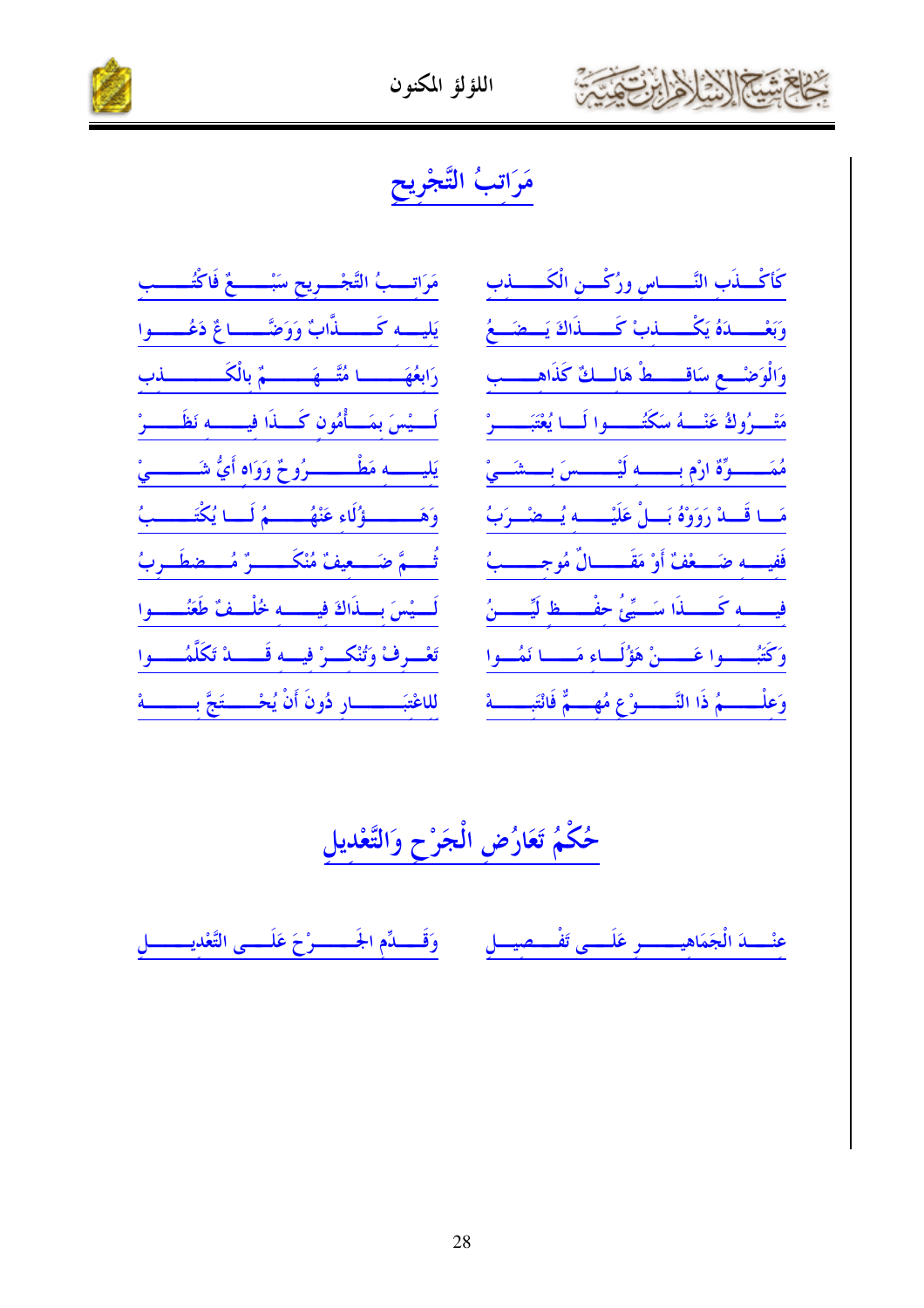

اللؤلؤ المكنون



### مَرَاتبُ التَّجْريح

مَرَاتـــبُ التَّجْــــريح سَبْـــــــعٌ فَاكْتُــــــب يَليسه كَـــــذَّابٌ وَوَضَّـــاعٌ دَعُــــوا رَابِعُهَمْمُسْسَا مُتَّسْهَمْ مِسْمٌ بِالْكَمْسْمَسْسَلَفِ لَــــيْسَ بمَــــأْمُون كَــــذَا فيـــــــــه نَظَـــــــرْ يَليـــــه مَطْـــــــرُوحٌ وَوَاه أَيُّ شَـــــــىْ وَهَــــــــؤُلَاءِ عَنْهُـــــــمُ لَــا يُكْتَــــــبُ تُـــمَّ ضَـــعيفٌ مُنْكَــــــرٌ مُـــضطَــربُ لَسيْسَ بِسِذَاكَ فِيسِسِهِ خُلْسِفٌ طَعَنُسِـــوا تَعْسِرِفْ وَتُنْكَسِرْ فِيسَه قَسَسْدْ تَكَلَّمُسْسَوا 

كَأكْسنَب النَّــــــــاس ورُكْــــن الْكَــــــــــذب وَبَعْـــدَهُ يَكْـــدَبْ كَـــدَاكَ يَــضَــعُ وَالْوَضْــعِ سَاقــــطْ هَالــكِّ كَذَاهــــب مَتْسِرُوكُ عَنْــــهُ سَكَتُـــــــوا لَـــا يُعْتَبَـــــــرْ مُمَــــــوّة ارْم بــــــــه لَيْــــــــسَ بــــشَـــىْ مَــا قَـــدْ رَوَوْهُ بَــــلْ عَلَيْـــــــه يُـــضْــرَبُ فَفيهم ضَمْعَةٌ أَوْ مَقَمْسَالٌ مُوجِمْسِبُ فيهم كَــــــــــداً سَــــيِّيُّ حفْـــــــظ لَيِّـــــــنُ وَكَتُبْـــــوا عَـــــنْ هَؤُلَـــاء مَـــــا نَمُـــوا وَعِلْمِسْسُمُ ذَا النَّسْسُوْعِ مُهِسْمٌّ فَانْتَبِمْسَسَهْ

حُكْمُ تَعَارُضِ الْجَرْحِ وَالتَّعْديلِ

وَقَــــدِّم الجَــــــــرْحَ عَلَــــى التَّعْديــــــــل عنْـــدَ الْجَمَاهيـــــــر عَلَـــى تَفْـــصيـــل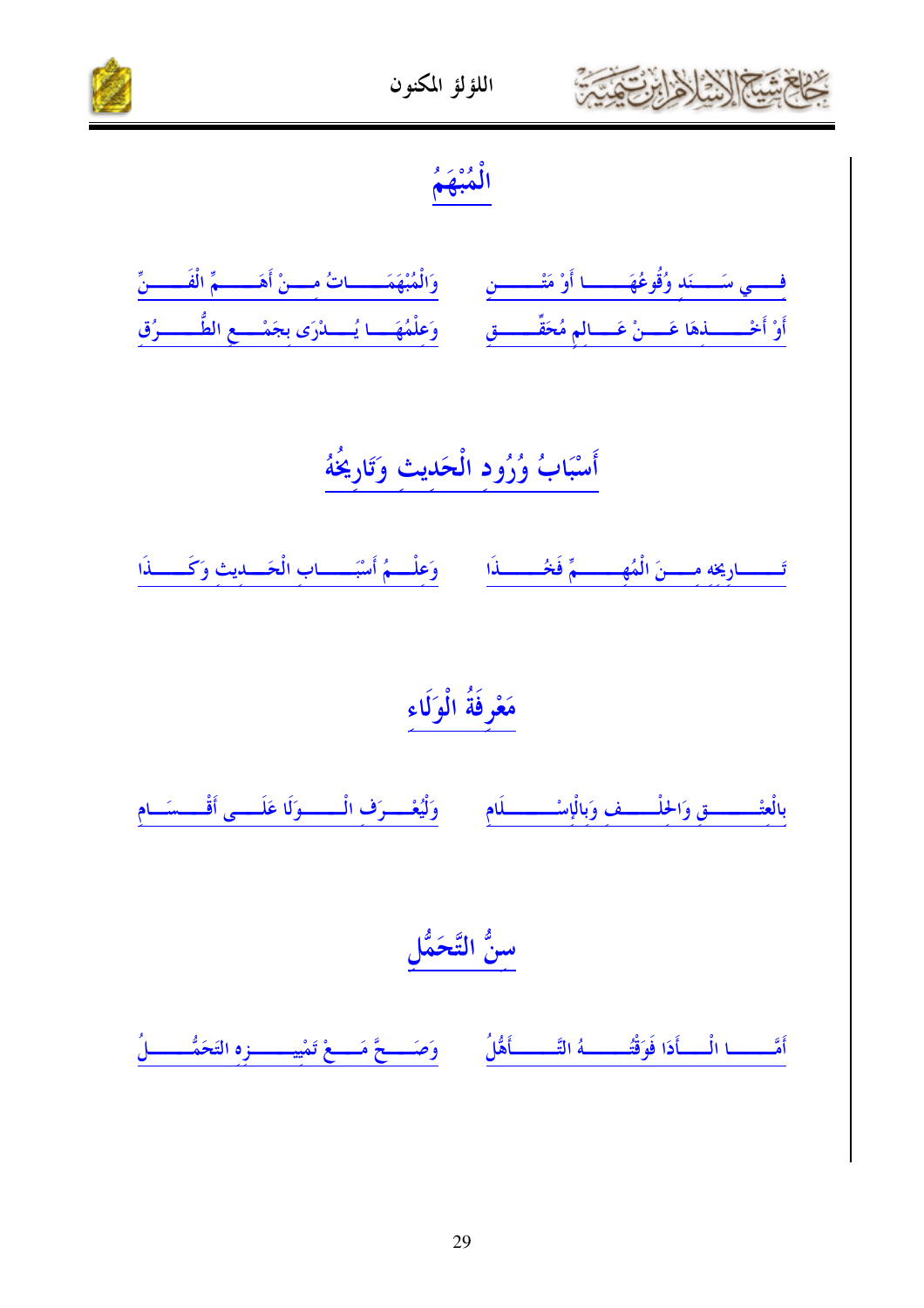



الْمُبْهَمُ

| فِسِمِ سَسِّنَدٍ وُقُوعُهَمْ ا أَوْ مَتْسَسِّنٍ ﴾ وَالْمُبْهَمَـــاتُ مِسْنْ أَهَــــمِّ الْفَــــنّ                                  |
|---------------------------------------------------------------------------------------------------------------------------------------|
| أَوْ أَخْــــــــــذِهَا عَــــــنْ عَـــــالمِ مُحَقَّـــــــــقِ         وَعلْمُهَـــــا يُــــــدْرَى بجَمْـــــع الطُّــــــــرُق |

أَسْبَابُ وُرُود الْحَديث وَتَارِيخُهُ

تَــــارِيخِهِ مِــــنَ الْمُهِـــــمِّ فَحُـــــــذَا من وَعِلْـــمُ أَسْبَـــــابِ الْحَـــايثِ وَكَـــــذَا

### مَعْرِفَةُ الْوَلَاء

وَلْيُعْسِرَفْ الْــــــوَلَا عَلَــــى أَقْــــسَــ بالعتْــــــــق وَالحُلْـــــف وَبالْإِسْــــــــلَام  $\overline{a}$ 

سنُّ التَّحَمُّلِ

وَصَحَعَ مَسِعْ تَمْيِيْسِسْوْهِ التَحَمُّــــــلُ أَمَّــــــــا الْـــــأَدَا فَوَقْتُــــــــهُ التَّــــــــأَهُّلُ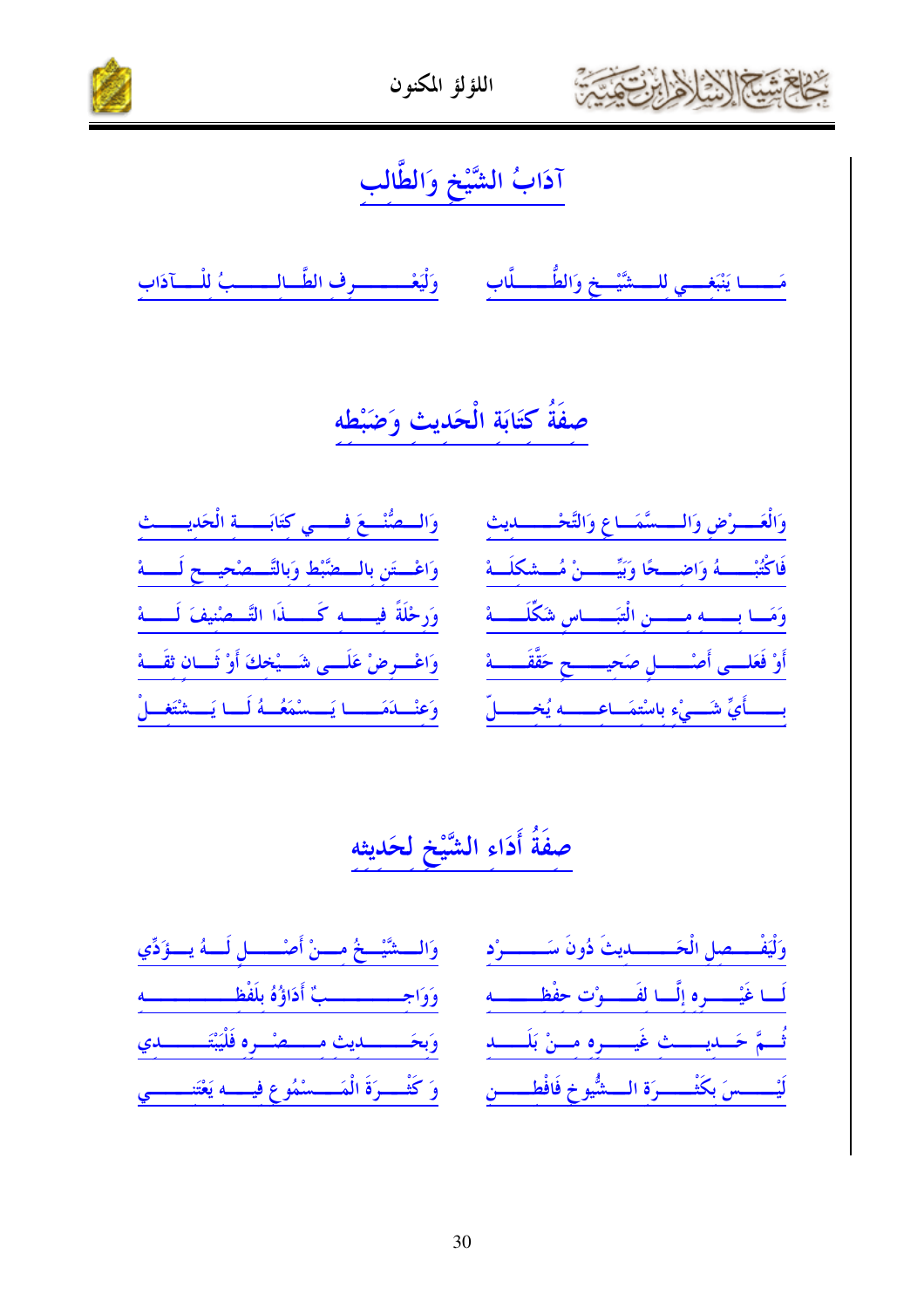



### آدَابُ الشَّيْخِ وَالطَّالِبِ

مَـــا يَنْبَغـــي للـــشَّيْــخ وَالطُّـــــلَّاب وَلْيَعْـــــــــرف الطَّــالــــــبُ للْـــآذاب

### صفَةُ كتَابَة الْحَديث وَضَبْطه

| والمصنُّع فسي كتَابَه الْحَديسيث                           |  |
|------------------------------------------------------------|--|
| وَاعْسَتَنِ بِالسَّصَّبْطِ وَبِالتَّسْصُحِسِــحٍ لَـــــهْ |  |
| وَرِحْلَةً فيــــــه كَــــــذَا التَّـــصْنيفَ لَــــــهْ |  |
| وَاعْسِرِضْ عَلَـــى شَـــيْخكَ أَوْ ثَـــان ثقَـــهْ      |  |
| وَعِنْــلَمَــــا يَـــسْمَعُــهُ لَــا يَـــشْتَغــلْ     |  |

|  |  | وَالْعَـــرْضِ وَالـــسَّمَــاعِ وَالتَّحْــــــديث      |
|--|--|----------------------------------------------------------|
|  |  | فَاكْتُبْـــهُ وَاضِــعًا وَبَيِّــــنْ مُــشكِلَـهْ     |
|  |  | وَمَسًا بِـسَّــهِ مِسْسَنِ الْتِبَــــاسِ شَكِّلَــــهُ |
|  |  | أَوْ فَعَلَــى أَصْـــــلٍ صَحِيــــــحٍ حَقَّقَـــــهُ  |
|  |  | بسستاًيِّ شَسمٍ ْءِ بِاسْتِهَسَاعِسسِهِ يُخِسسالِّ       |

# صفَةُ أَدَاء الشَّيْخِ لِحَديثه

| وَالسَّشَّيْحُ مِسْنُ أَصْسَبِلِ لَسَهُ يَسْؤَدِّي      | سىراد          |
|---------------------------------------------------------|----------------|
| وَوَاجِــــــــــبٌّ أَدَاؤُهُ بِلَفْظِـــــــــــــه   | $\overline{a}$ |
| وَبِحَــــــــديث مـــــصْـــرِه فَلْيَبْتَــــــــدي   | أحصب           |
| وَكُثْسِيرَةَ الْمَسْسَمُوعِ فِيسِمْهِ يَعْتَنِــْسِمِي |                |

وَلْيَفْــــصل الْحَــــــــــديثَ دُونَ سَـــ لَـــا غَيْــــــــرِهِ إِلَـــا لِفَــــــوْتِ حِفْظِــ تُسمَّ حَسَدِيسَــثِ غَيــــرِهِ مِــنْ بَا ــــسَ بكَثْــــــرَة الـــشُّيوخ فَافْط أثيب